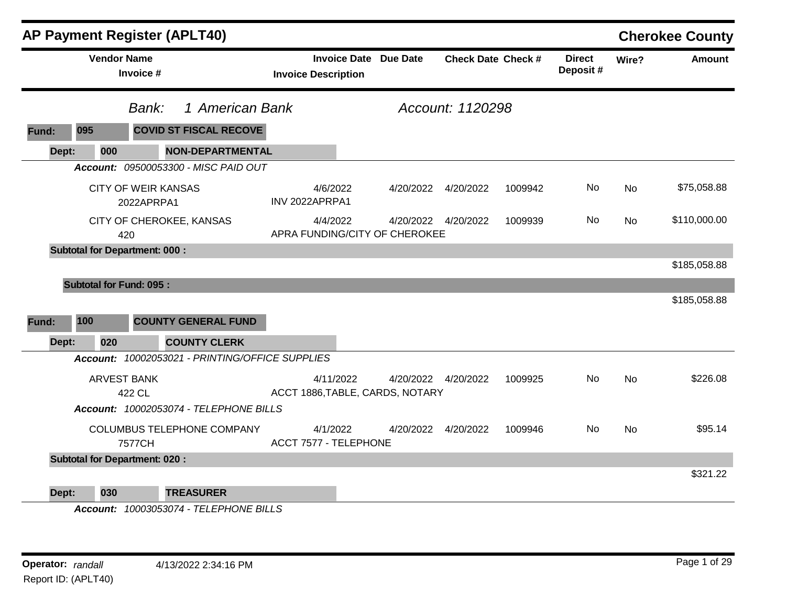|       |                                | <b>AP Payment Register (APLT40)</b>             |                         |                            |                              |                                              |                           |         |                           |           | <b>Cherokee County</b> |
|-------|--------------------------------|-------------------------------------------------|-------------------------|----------------------------|------------------------------|----------------------------------------------|---------------------------|---------|---------------------------|-----------|------------------------|
|       | <b>Vendor Name</b>             | Invoice #                                       |                         | <b>Invoice Description</b> | <b>Invoice Date Due Date</b> |                                              | <b>Check Date Check #</b> |         | <b>Direct</b><br>Deposit# | Wire?     | <b>Amount</b>          |
|       |                                | Bank:                                           | 1 American Bank         |                            |                              |                                              | Account: 1120298          |         |                           |           |                        |
| Fund: | 095                            | <b>COVID ST FISCAL RECOVE</b>                   |                         |                            |                              |                                              |                           |         |                           |           |                        |
| Dept: | 000                            |                                                 | <b>NON-DEPARTMENTAL</b> |                            |                              |                                              |                           |         |                           |           |                        |
|       |                                | Account: 09500053300 - MISC PAID OUT            |                         |                            |                              |                                              |                           |         |                           |           |                        |
|       |                                | <b>CITY OF WEIR KANSAS</b><br>2022APRPA1        |                         | INV 2022APRPA1             | 4/6/2022                     | 4/20/2022                                    | 4/20/2022                 | 1009942 | No                        | No        | \$75,058.88            |
|       |                                | CITY OF CHEROKEE, KANSAS<br>420                 |                         |                            | 4/4/2022                     | APRA FUNDING/CITY OF CHEROKEE                | 4/20/2022  4/20/2022      | 1009939 | No                        | <b>No</b> | \$110,000.00           |
|       |                                | <b>Subtotal for Department: 000:</b>            |                         |                            |                              |                                              |                           |         |                           |           |                        |
|       |                                |                                                 |                         |                            |                              |                                              |                           |         |                           |           | \$185,058.88           |
|       | <b>Subtotal for Fund: 095:</b> |                                                 |                         |                            |                              |                                              |                           |         |                           |           |                        |
|       |                                |                                                 |                         |                            |                              |                                              |                           |         |                           |           | \$185,058.88           |
| Fund: | 100                            | <b>COUNTY GENERAL FUND</b>                      |                         |                            |                              |                                              |                           |         |                           |           |                        |
| Dept: | 020                            | <b>COUNTY CLERK</b>                             |                         |                            |                              |                                              |                           |         |                           |           |                        |
|       |                                | Account: 10002053021 - PRINTING/OFFICE SUPPLIES |                         |                            |                              |                                              |                           |         |                           |           |                        |
|       | <b>ARVEST BANK</b>             | 422 CL                                          |                         |                            | 4/11/2022                    | 4/20/2022<br>ACCT 1886, TABLE, CARDS, NOTARY | 4/20/2022                 | 1009925 | No                        | <b>No</b> | \$226.08               |
|       |                                | Account: 10002053074 - TELEPHONE BILLS          |                         |                            |                              |                                              |                           |         |                           |           |                        |
|       |                                | COLUMBUS TELEPHONE COMPANY<br>7577CH            |                         | ACCT 7577 - TELEPHONE      | 4/1/2022                     | 4/20/2022                                    | 4/20/2022                 | 1009946 | No.                       | <b>No</b> | \$95.14                |
|       |                                | <b>Subtotal for Department: 020:</b>            |                         |                            |                              |                                              |                           |         |                           |           |                        |
|       |                                |                                                 |                         |                            |                              |                                              |                           |         |                           |           | \$321.22               |
| Dept: | 030                            | <b>TREASURER</b>                                |                         |                            |                              |                                              |                           |         |                           |           |                        |

*Account: 10003053074 - TELEPHONE BILLS*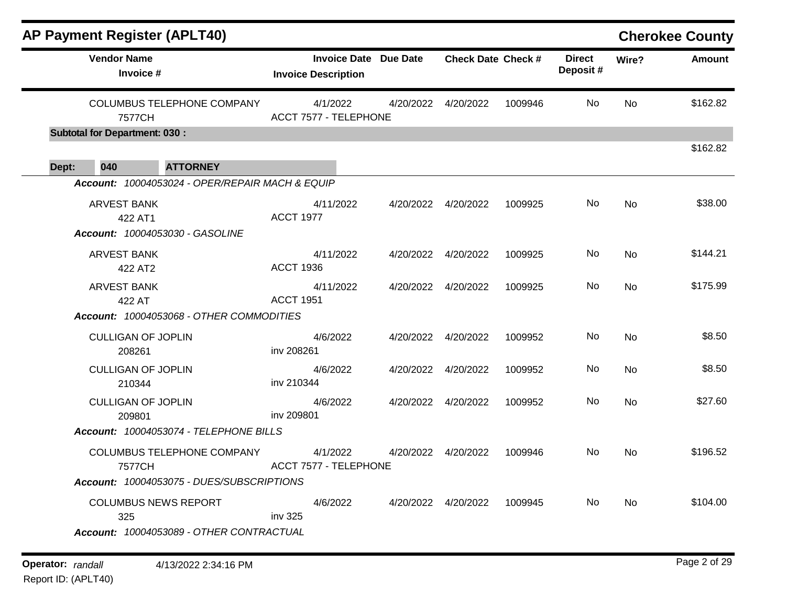|       | <b>AP Payment Register (APLT40)</b>  |                                                                         |                                                            |           |                           |         |                           |           | <b>Cherokee County</b> |
|-------|--------------------------------------|-------------------------------------------------------------------------|------------------------------------------------------------|-----------|---------------------------|---------|---------------------------|-----------|------------------------|
|       | <b>Vendor Name</b><br>Invoice #      |                                                                         | <b>Invoice Date Due Date</b><br><b>Invoice Description</b> |           | <b>Check Date Check #</b> |         | <b>Direct</b><br>Deposit# | Wire?     | <b>Amount</b>          |
|       | 7577CH                               | <b>COLUMBUS TELEPHONE COMPANY</b>                                       | 4/1/2022<br>ACCT 7577 - TELEPHONE                          | 4/20/2022 | 4/20/2022                 | 1009946 | No                        | No        | \$162.82               |
|       | <b>Subtotal for Department: 030:</b> |                                                                         |                                                            |           |                           |         |                           |           |                        |
| Dept: | 040                                  | <b>ATTORNEY</b>                                                         |                                                            |           |                           |         |                           |           | \$162.82               |
|       |                                      | Account: 10004053024 - OPER/REPAIR MACH & EQUIP                         |                                                            |           |                           |         |                           |           |                        |
|       | <b>ARVEST BANK</b><br>422 AT1        | Account: 10004053030 - GASOLINE                                         | 4/11/2022<br><b>ACCT 1977</b>                              | 4/20/2022 | 4/20/2022                 | 1009925 | No                        | No        | \$38.00                |
|       | <b>ARVEST BANK</b><br>422 AT2        |                                                                         | 4/11/2022<br><b>ACCT 1936</b>                              |           | 4/20/2022  4/20/2022      | 1009925 | No                        | <b>No</b> | \$144.21               |
|       | <b>ARVEST BANK</b><br>422 AT         |                                                                         | 4/11/2022<br><b>ACCT 1951</b>                              | 4/20/2022 | 4/20/2022                 | 1009925 | No                        | No        | \$175.99               |
|       |                                      | Account: 10004053068 - OTHER COMMODITIES                                |                                                            |           |                           |         |                           |           |                        |
|       | <b>CULLIGAN OF JOPLIN</b><br>208261  |                                                                         | 4/6/2022<br>inv 208261                                     | 4/20/2022 | 4/20/2022                 | 1009952 | No                        | No        | \$8.50                 |
|       | <b>CULLIGAN OF JOPLIN</b><br>210344  |                                                                         | 4/6/2022<br>inv 210344                                     | 4/20/2022 | 4/20/2022                 | 1009952 | No                        | No        | \$8.50                 |
|       | <b>CULLIGAN OF JOPLIN</b><br>209801  |                                                                         | 4/6/2022<br>inv 209801                                     | 4/20/2022 | 4/20/2022                 | 1009952 | No                        | No        | \$27.60                |
|       |                                      | Account: 10004053074 - TELEPHONE BILLS                                  |                                                            |           |                           |         |                           |           |                        |
|       | 7577CH                               | <b>COLUMBUS TELEPHONE COMPANY</b>                                       | 4/1/2022<br>ACCT 7577 - TELEPHONE                          | 4/20/2022 | 4/20/2022                 | 1009946 | No                        | No        | \$196.52               |
|       |                                      | Account: 10004053075 - DUES/SUBSCRIPTIONS                               |                                                            |           |                           |         |                           |           |                        |
|       | 325                                  | <b>COLUMBUS NEWS REPORT</b><br>Account: 10004053089 - OTHER CONTRACTUAL | 4/6/2022<br>inv 325                                        | 4/20/2022 | 4/20/2022                 | 1009945 | No                        | No        | \$104.00               |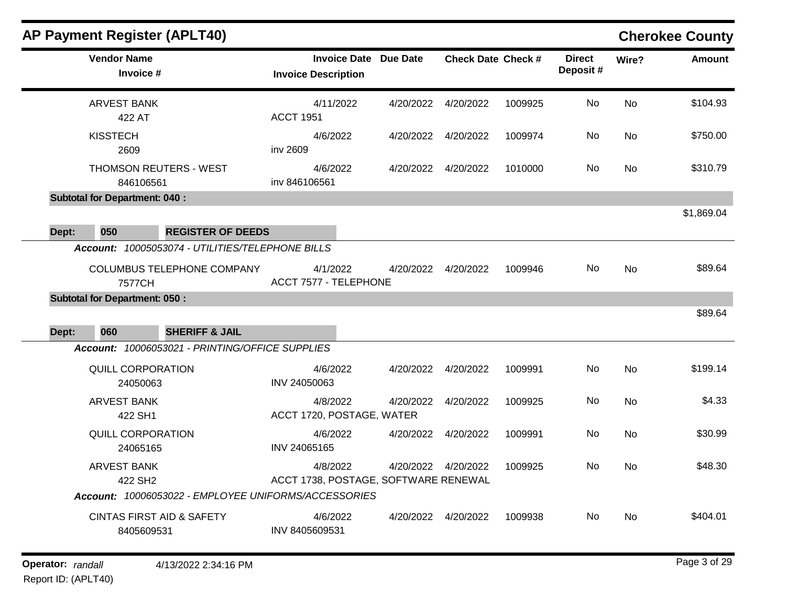|       | <b>AP Payment Register (APLT40)</b>         |                                                                                       |                                                            |           |                           |         |                           |       | <b>Cherokee County</b> |
|-------|---------------------------------------------|---------------------------------------------------------------------------------------|------------------------------------------------------------|-----------|---------------------------|---------|---------------------------|-------|------------------------|
|       | <b>Vendor Name</b><br>Invoice #             |                                                                                       | <b>Invoice Date Due Date</b><br><b>Invoice Description</b> |           | <b>Check Date Check #</b> |         | <b>Direct</b><br>Deposit# | Wire? | <b>Amount</b>          |
|       | <b>ARVEST BANK</b><br>422 AT                |                                                                                       | 4/11/2022<br><b>ACCT 1951</b>                              | 4/20/2022 | 4/20/2022                 | 1009925 | No                        | No    | \$104.93               |
|       | <b>KISSTECH</b><br>2609                     |                                                                                       | 4/6/2022<br>inv 2609                                       | 4/20/2022 | 4/20/2022                 | 1009974 | No                        | No    | \$750.00               |
|       | 846106561                                   | <b>THOMSON REUTERS - WEST</b>                                                         | 4/6/2022<br>inv 846106561                                  | 4/20/2022 | 4/20/2022                 | 1010000 | No                        | No    | \$310.79               |
|       | <b>Subtotal for Department: 040:</b>        |                                                                                       |                                                            |           |                           |         |                           |       |                        |
| Dept: | 050                                         | <b>REGISTER OF DEEDS</b>                                                              |                                                            |           |                           |         |                           |       | \$1,869.04             |
|       | 7577CH                                      | Account: 10005053074 - UTILITIES/TELEPHONE BILLS<br><b>COLUMBUS TELEPHONE COMPANY</b> | 4/1/2022<br>ACCT 7577 - TELEPHONE                          | 4/20/2022 | 4/20/2022                 | 1009946 | No                        | No    | \$89.64                |
| Dept: | <b>Subtotal for Department: 050:</b><br>060 | <b>SHERIFF &amp; JAIL</b>                                                             |                                                            |           |                           |         |                           |       | \$89.64                |
|       |                                             | Account: 10006053021 - PRINTING/OFFICE SUPPLIES                                       |                                                            |           |                           |         |                           |       |                        |
|       | <b>QUILL CORPORATION</b><br>24050063        |                                                                                       | 4/6/2022<br>INV 24050063                                   | 4/20/2022 | 4/20/2022                 | 1009991 | No                        | No    | \$199.14               |
|       | <b>ARVEST BANK</b><br>422 SH1               |                                                                                       | 4/8/2022<br>ACCT 1720, POSTAGE, WATER                      | 4/20/2022 | 4/20/2022                 | 1009925 | No                        | No    | \$4.33                 |
|       | <b>QUILL CORPORATION</b><br>24065165        |                                                                                       | 4/6/2022<br>INV 24065165                                   | 4/20/2022 | 4/20/2022                 | 1009991 | No                        | No    | \$30.99                |
|       | <b>ARVEST BANK</b><br>422 SH <sub>2</sub>   |                                                                                       | 4/8/2022<br>ACCT 1738, POSTAGE, SOFTWARE RENEWAL           | 4/20/2022 | 4/20/2022                 | 1009925 | No                        | No    | \$48.30                |
|       |                                             |                                                                                       | Account: 10006053022 - EMPLOYEE UNIFORMS/ACCESSORIES       |           |                           |         |                           |       |                        |
|       | 8405609531                                  | <b>CINTAS FIRST AID &amp; SAFETY</b>                                                  | 4/6/2022<br>INV 8405609531                                 |           | 4/20/2022  4/20/2022      | 1009938 | No                        | No    | \$404.01               |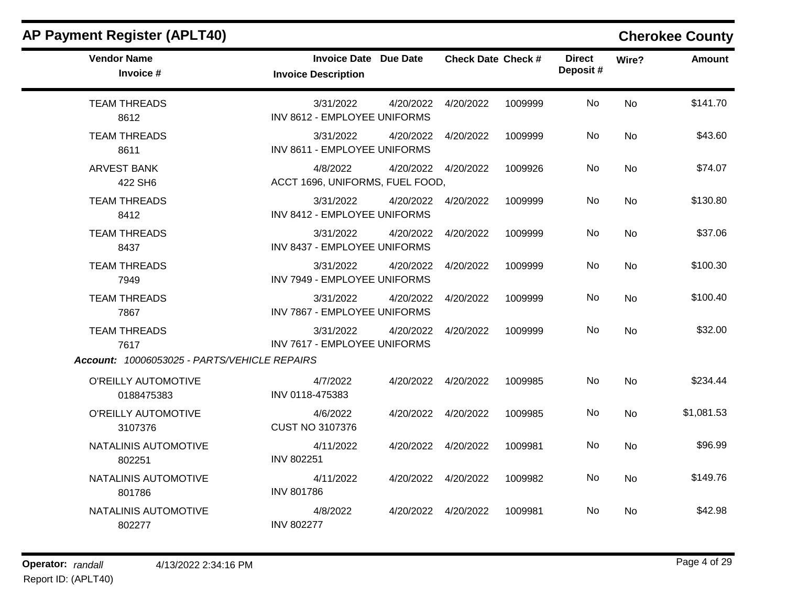| <b>AP Payment Register (APLT40)</b>          |                                                            |           |                           |         |                           |           | <b>Cherokee County</b> |
|----------------------------------------------|------------------------------------------------------------|-----------|---------------------------|---------|---------------------------|-----------|------------------------|
| <b>Vendor Name</b><br>Invoice #              | <b>Invoice Date Due Date</b><br><b>Invoice Description</b> |           | <b>Check Date Check #</b> |         | <b>Direct</b><br>Deposit# | Wire?     | <b>Amount</b>          |
| <b>TEAM THREADS</b><br>8612                  | 3/31/2022<br>INV 8612 - EMPLOYEE UNIFORMS                  | 4/20/2022 | 4/20/2022                 | 1009999 | No                        | <b>No</b> | \$141.70               |
| <b>TEAM THREADS</b><br>8611                  | 3/31/2022<br>INV 8611 - EMPLOYEE UNIFORMS                  | 4/20/2022 | 4/20/2022                 | 1009999 | No                        | <b>No</b> | \$43.60                |
| <b>ARVEST BANK</b><br>422 SH6                | 4/8/2022<br>ACCT 1696, UNIFORMS, FUEL FOOD,                |           | 4/20/2022  4/20/2022      | 1009926 | No                        | <b>No</b> | \$74.07                |
| <b>TEAM THREADS</b><br>8412                  | 3/31/2022<br>INV 8412 - EMPLOYEE UNIFORMS                  |           | 4/20/2022  4/20/2022      | 1009999 | No                        | No        | \$130.80               |
| <b>TEAM THREADS</b><br>8437                  | 3/31/2022<br>INV 8437 - EMPLOYEE UNIFORMS                  | 4/20/2022 | 4/20/2022                 | 1009999 | No                        | <b>No</b> | \$37.06                |
| <b>TEAM THREADS</b><br>7949                  | 3/31/2022<br>INV 7949 - EMPLOYEE UNIFORMS                  | 4/20/2022 | 4/20/2022                 | 1009999 | No                        | <b>No</b> | \$100.30               |
| <b>TEAM THREADS</b><br>7867                  | 3/31/2022<br>INV 7867 - EMPLOYEE UNIFORMS                  | 4/20/2022 | 4/20/2022                 | 1009999 | No                        | <b>No</b> | \$100.40               |
| <b>TEAM THREADS</b><br>7617                  | 3/31/2022<br>INV 7617 - EMPLOYEE UNIFORMS                  | 4/20/2022 | 4/20/2022                 | 1009999 | No                        | <b>No</b> | \$32.00                |
| Account: 10006053025 - PARTS/VEHICLE REPAIRS |                                                            |           |                           |         |                           |           |                        |
| O'REILLY AUTOMOTIVE<br>0188475383            | 4/7/2022<br>INV 0118-475383                                |           | 4/20/2022  4/20/2022      | 1009985 | No                        | <b>No</b> | \$234.44               |
| O'REILLY AUTOMOTIVE<br>3107376               | 4/6/2022<br><b>CUST NO 3107376</b>                         |           | 4/20/2022  4/20/2022      | 1009985 | No                        | No        | \$1,081.53             |
| NATALINIS AUTOMOTIVE<br>802251               | 4/11/2022<br><b>INV 802251</b>                             |           | 4/20/2022  4/20/2022      | 1009981 | No                        | No        | \$96.99                |
| NATALINIS AUTOMOTIVE<br>801786               | 4/11/2022<br><b>INV 801786</b>                             |           | 4/20/2022  4/20/2022      | 1009982 | No                        | <b>No</b> | \$149.76               |
| NATALINIS AUTOMOTIVE<br>802277               | 4/8/2022<br><b>INV 802277</b>                              |           | 4/20/2022 4/20/2022       | 1009981 | No                        | No.       | \$42.98                |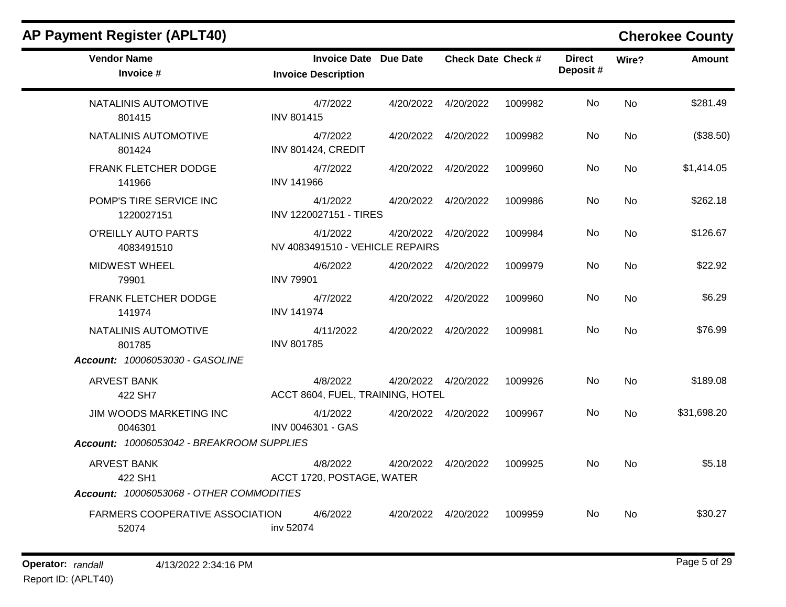| <b>AP Payment Register (APLT40)</b>             |                                                     |                           |         |                           |           | <b>Cherokee County</b> |
|-------------------------------------------------|-----------------------------------------------------|---------------------------|---------|---------------------------|-----------|------------------------|
| <b>Vendor Name</b><br>Invoice #                 | Invoice Date Due Date<br><b>Invoice Description</b> | <b>Check Date Check #</b> |         | <b>Direct</b><br>Deposit# | Wire?     | <b>Amount</b>          |
| NATALINIS AUTOMOTIVE<br>801415                  | 4/7/2022<br><b>INV 801415</b>                       | 4/20/2022  4/20/2022      | 1009982 | No                        | <b>No</b> | \$281.49               |
| NATALINIS AUTOMOTIVE<br>801424                  | 4/7/2022<br><b>INV 801424, CREDIT</b>               | 4/20/2022  4/20/2022      | 1009982 | No.                       | No        | (\$38.50)              |
| FRANK FLETCHER DODGE<br>141966                  | 4/7/2022<br><b>INV 141966</b>                       | 4/20/2022 4/20/2022       | 1009960 | No                        | No        | \$1,414.05             |
| POMP'S TIRE SERVICE INC<br>1220027151           | 4/1/2022<br>INV 1220027151 - TIRES                  | 4/20/2022 4/20/2022       | 1009986 | No.                       | No        | \$262.18               |
| O'REILLY AUTO PARTS<br>4083491510               | 4/1/2022<br>NV 4083491510 - VEHICLE REPAIRS         | 4/20/2022 4/20/2022       | 1009984 | No                        | No        | \$126.67               |
| MIDWEST WHEEL<br>79901                          | 4/6/2022<br><b>INV 79901</b>                        | 4/20/2022 4/20/2022       | 1009979 | No.                       | No        | \$22.92                |
| FRANK FLETCHER DODGE<br>141974                  | 4/7/2022<br><b>INV 141974</b>                       | 4/20/2022  4/20/2022      | 1009960 | No.                       | <b>No</b> | \$6.29                 |
| NATALINIS AUTOMOTIVE<br>801785                  | 4/11/2022<br><b>INV 801785</b>                      | 4/20/2022  4/20/2022      | 1009981 | No                        | <b>No</b> | \$76.99                |
| Account: 10006053030 - GASOLINE                 |                                                     |                           |         |                           |           |                        |
| <b>ARVEST BANK</b><br>422 SH7                   | 4/8/2022<br>ACCT 8604, FUEL, TRAINING, HOTEL        | 4/20/2022  4/20/2022      | 1009926 | No.                       | <b>No</b> | \$189.08               |
| JIM WOODS MARKETING INC<br>0046301              | 4/1/2022<br>INV 0046301 - GAS                       | 4/20/2022 4/20/2022       | 1009967 | No                        | <b>No</b> | \$31,698.20            |
| Account: 10006053042 - BREAKROOM SUPPLIES       |                                                     |                           |         |                           |           |                        |
| <b>ARVEST BANK</b><br>422 SH1                   | 4/8/2022<br>ACCT 1720, POSTAGE, WATER               | 4/20/2022  4/20/2022      | 1009925 | No.                       | <b>No</b> | \$5.18                 |
| Account: 10006053068 - OTHER COMMODITIES        |                                                     |                           |         |                           |           |                        |
| <b>FARMERS COOPERATIVE ASSOCIATION</b><br>52074 | 4/6/2022<br>inv 52074                               | 4/20/2022 4/20/2022       | 1009959 | No.                       | No        | \$30.27                |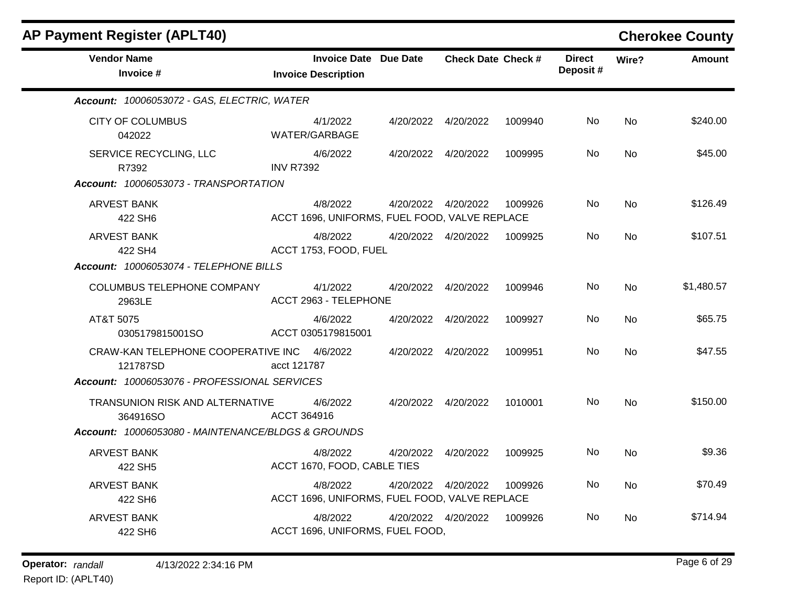| <b>AP Payment Register (APLT40)</b>                     |                                                            |           |                           |         |                           |           | <b>Cherokee County</b> |
|---------------------------------------------------------|------------------------------------------------------------|-----------|---------------------------|---------|---------------------------|-----------|------------------------|
| <b>Vendor Name</b><br>Invoice #                         | <b>Invoice Date Due Date</b><br><b>Invoice Description</b> |           | <b>Check Date Check #</b> |         | <b>Direct</b><br>Deposit# | Wire?     | <b>Amount</b>          |
| Account: 10006053072 - GAS, ELECTRIC, WATER             |                                                            |           |                           |         |                           |           |                        |
| <b>CITY OF COLUMBUS</b><br>042022                       | 4/1/2022<br>WATER/GARBAGE                                  |           | 4/20/2022 4/20/2022       | 1009940 | No.                       | <b>No</b> | \$240.00               |
| SERVICE RECYCLING, LLC<br>R7392                         | 4/6/2022<br><b>INV R7392</b>                               | 4/20/2022 | 4/20/2022                 | 1009995 | No                        | No        | \$45.00                |
| Account: 10006053073 - TRANSPORTATION                   |                                                            |           |                           |         |                           |           |                        |
| ARVEST BANK<br>422 SH6                                  | 4/8/2022<br>ACCT 1696, UNIFORMS, FUEL FOOD, VALVE REPLACE  |           | 4/20/2022  4/20/2022      | 1009926 | No.                       | No        | \$126.49               |
| <b>ARVEST BANK</b><br>422 SH4                           | 4/8/2022<br>ACCT 1753, FOOD, FUEL                          |           | 4/20/2022  4/20/2022      | 1009925 | No                        | <b>No</b> | \$107.51               |
| Account: 10006053074 - TELEPHONE BILLS                  |                                                            |           |                           |         |                           |           |                        |
| COLUMBUS TELEPHONE COMPANY<br>2963LE                    | 4/1/2022<br>ACCT 2963 - TELEPHONE                          |           | 4/20/2022 4/20/2022       | 1009946 | No.                       | <b>No</b> | \$1,480.57             |
| AT&T 5075<br>0305179815001SO                            | 4/6/2022<br>ACCT 0305179815001                             | 4/20/2022 | 4/20/2022                 | 1009927 | No                        | <b>No</b> | \$65.75                |
| CRAW-KAN TELEPHONE COOPERATIVE INC 4/6/2022<br>121787SD | acct 121787                                                | 4/20/2022 | 4/20/2022                 | 1009951 | No.                       | <b>No</b> | \$47.55                |
| Account: 10006053076 - PROFESSIONAL SERVICES            |                                                            |           |                           |         |                           |           |                        |
| TRANSUNION RISK AND ALTERNATIVE<br>364916SO             | 4/6/2022<br>ACCT 364916                                    |           | 4/20/2022 4/20/2022       | 1010001 | No.                       | <b>No</b> | \$150.00               |
| Account: 10006053080 - MAINTENANCE/BLDGS & GROUNDS      |                                                            |           |                           |         |                           |           |                        |
| <b>ARVEST BANK</b><br>422 SH5                           | 4/8/2022<br>ACCT 1670, FOOD, CABLE TIES                    | 4/20/2022 | 4/20/2022                 | 1009925 | No.                       | No        | \$9.36                 |
| <b>ARVEST BANK</b><br>422 SH6                           | 4/8/2022<br>ACCT 1696, UNIFORMS, FUEL FOOD, VALVE REPLACE  |           | 4/20/2022  4/20/2022      | 1009926 | No                        | <b>No</b> | \$70.49                |
| <b>ARVEST BANK</b><br>422 SH6                           | 4/8/2022<br>ACCT 1696, UNIFORMS, FUEL FOOD,                |           | 4/20/2022  4/20/2022      | 1009926 | No.                       | No        | \$714.94               |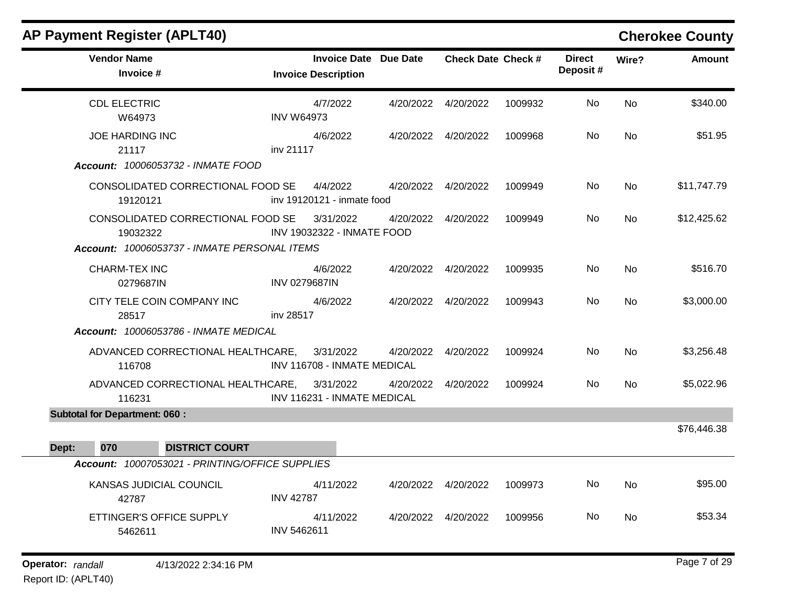| AF FAYIIIGIIL REYISIGI (AFLT4V)                                                               |                                                            |           |                           |         |                           |           | <b>CHEIOREE COUTILY</b> |
|-----------------------------------------------------------------------------------------------|------------------------------------------------------------|-----------|---------------------------|---------|---------------------------|-----------|-------------------------|
| <b>Vendor Name</b><br>Invoice #                                                               | <b>Invoice Date Due Date</b><br><b>Invoice Description</b> |           | <b>Check Date Check #</b> |         | <b>Direct</b><br>Deposit# | Wire?     | <b>Amount</b>           |
| <b>CDL ELECTRIC</b><br>W64973                                                                 | 4/7/2022<br><b>INV W64973</b>                              |           | 4/20/2022 4/20/2022       | 1009932 | No.                       | No        | \$340.00                |
| <b>JOE HARDING INC</b><br>21117<br>Account: 10006053732 - INMATE FOOD                         | 4/6/2022<br>inv 21117                                      |           | 4/20/2022  4/20/2022      | 1009968 | No                        | <b>No</b> | \$51.95                 |
| CONSOLIDATED CORRECTIONAL FOOD SE<br>19120121                                                 | 4/4/2022<br>inv 19120121 - inmate food                     |           | 4/20/2022 4/20/2022       | 1009949 | No                        | No        | \$11,747.79             |
| CONSOLIDATED CORRECTIONAL FOOD SE<br>19032322<br>Account: 10006053737 - INMATE PERSONAL ITEMS | 3/31/2022<br>INV 19032322 - INMATE FOOD                    |           | 4/20/2022  4/20/2022      | 1009949 | No                        | <b>No</b> | \$12,425.62             |
| <b>CHARM-TEX INC</b><br>0279687IN                                                             | 4/6/2022<br><b>INV 0279687IN</b>                           |           | 4/20/2022 4/20/2022       | 1009935 | No                        | <b>No</b> | \$516.70                |
| CITY TELE COIN COMPANY INC<br>28517<br>Account: 10006053786 - INMATE MEDICAL                  | 4/6/2022<br>inv 28517                                      |           | 4/20/2022  4/20/2022      | 1009943 | No                        | No        | \$3,000.00              |
| ADVANCED CORRECTIONAL HEALTHCARE,<br>116708                                                   | 3/31/2022<br>INV 116708 - INMATE MEDICAL                   |           | 4/20/2022  4/20/2022      | 1009924 | No.                       | No        | \$3,256.48              |
| ADVANCED CORRECTIONAL HEALTHCARE,<br>116231                                                   | 3/31/2022<br>INV 116231 - INMATE MEDICAL                   | 4/20/2022 | 4/20/2022                 | 1009924 | No                        | No        | \$5,022.96              |
| <b>Subtotal for Department: 060:</b>                                                          |                                                            |           |                           |         |                           |           |                         |
| 070<br><b>DISTRICT COURT</b><br>Dept:                                                         |                                                            |           |                           |         |                           |           | \$76,446.38             |
| Account: 10007053021 - PRINTING/OFFICE SUPPLIES                                               |                                                            |           |                           |         |                           |           |                         |
| KANSAS JUDICIAL COUNCIL<br>42787                                                              | 4/11/2022<br><b>INV 42787</b>                              |           | 4/20/2022  4/20/2022      | 1009973 | No                        | <b>No</b> | \$95.00                 |
| ETTINGER'S OFFICE SUPPLY<br>5462611                                                           | 4/11/2022<br>INV 5462611                                   |           | 4/20/2022 4/20/2022       | 1009956 | No.                       | No        | \$53.34                 |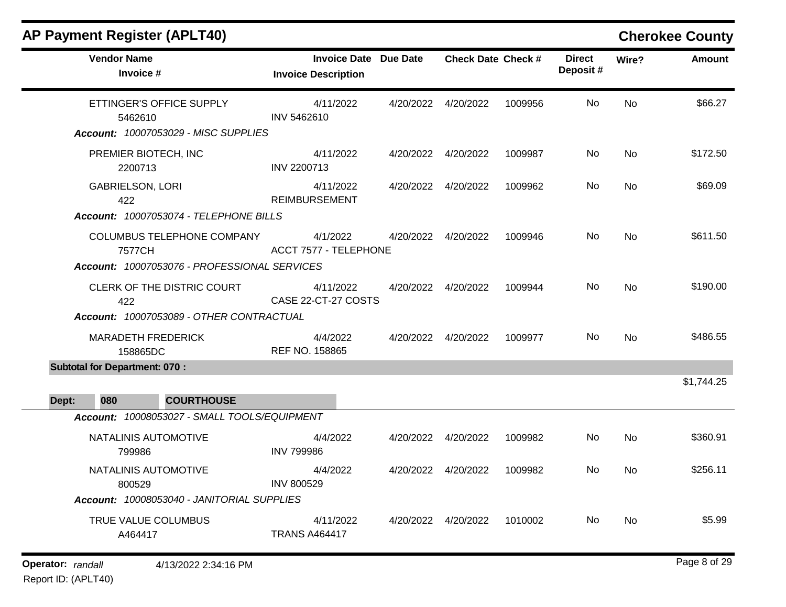| <b>AP Payment Register (APLT40)</b>                                                  |                                                            |           |                           |         |                            |           | <b>Cherokee County</b> |
|--------------------------------------------------------------------------------------|------------------------------------------------------------|-----------|---------------------------|---------|----------------------------|-----------|------------------------|
| <b>Vendor Name</b><br>Invoice #                                                      | <b>Invoice Date Due Date</b><br><b>Invoice Description</b> |           | <b>Check Date Check #</b> |         | <b>Direct</b><br>Deposit # | Wire?     | <b>Amount</b>          |
| ETTINGER'S OFFICE SUPPLY<br>5462610<br>Account: 10007053029 - MISC SUPPLIES          | 4/11/2022<br>INV 5462610                                   |           | 4/20/2022 4/20/2022       | 1009956 | No.                        | No        | \$66.27                |
| PREMIER BIOTECH, INC<br>2200713                                                      | 4/11/2022<br><b>INV 2200713</b>                            |           | 4/20/2022  4/20/2022      | 1009987 | No.                        | No        | \$172.50               |
| <b>GABRIELSON, LORI</b><br>422<br>Account: 10007053074 - TELEPHONE BILLS             | 4/11/2022<br><b>REIMBURSEMENT</b>                          |           | 4/20/2022 4/20/2022       | 1009962 | No.                        | No        | \$69.09                |
| COLUMBUS TELEPHONE COMPANY<br>7577CH<br>Account: 10007053076 - PROFESSIONAL SERVICES | 4/1/2022<br><b>ACCT 7577 - TELEPHONE</b>                   |           | 4/20/2022 4/20/2022       | 1009946 | No                         | No        | \$611.50               |
| CLERK OF THE DISTRIC COURT<br>422<br>Account: 10007053089 - OTHER CONTRACTUAL        | 4/11/2022<br>CASE 22-CT-27 COSTS                           |           | 4/20/2022  4/20/2022      | 1009944 | No.                        | No        | \$190.00               |
| <b>MARADETH FREDERICK</b><br>158865DC                                                | 4/4/2022<br>REF NO. 158865                                 |           | 4/20/2022  4/20/2022      | 1009977 | No.                        | <b>No</b> | \$486.55               |
| <b>Subtotal for Department: 070:</b>                                                 |                                                            |           |                           |         |                            |           | \$1,744.25             |
| 080<br><b>COURTHOUSE</b><br>Dept:                                                    |                                                            |           |                           |         |                            |           |                        |
| Account: 10008053027 - SMALL TOOLS/EQUIPMENT                                         |                                                            |           |                           |         |                            |           |                        |
| NATALINIS AUTOMOTIVE<br>799986                                                       | 4/4/2022<br><b>INV 799986</b>                              | 4/20/2022 | 4/20/2022                 | 1009982 | No.                        | <b>No</b> | \$360.91               |
| NATALINIS AUTOMOTIVE<br>800529<br>Account: 10008053040 - JANITORIAL SUPPLIES         | 4/4/2022<br><b>INV 800529</b>                              |           | 4/20/2022  4/20/2022      | 1009982 | No.                        | No        | \$256.11               |
| TRUE VALUE COLUMBUS<br>A464417                                                       | 4/11/2022<br><b>TRANS A464417</b>                          |           | 4/20/2022  4/20/2022      | 1010002 | No.                        | No        | \$5.99                 |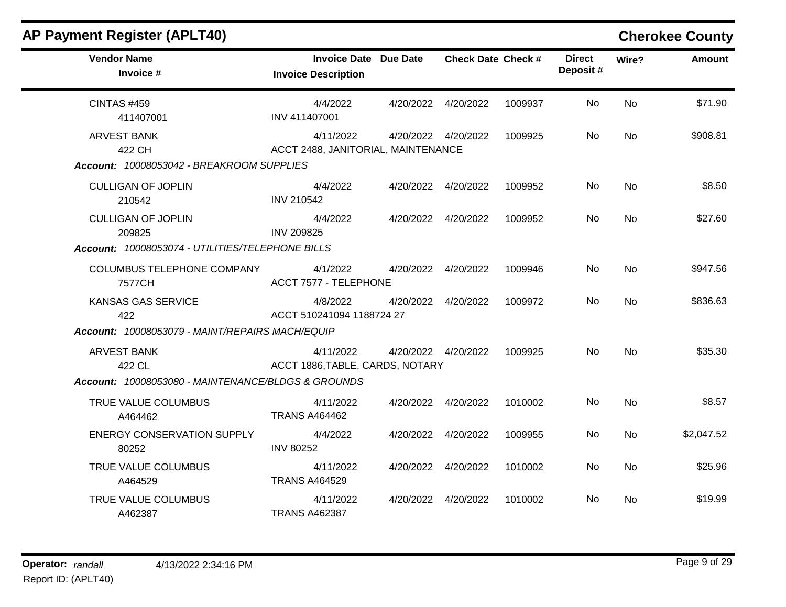| <b>AP Payment Register (APLT40)</b>                                                     |                                                            |                           |         |                           |           | <b>Cherokee County</b> |
|-----------------------------------------------------------------------------------------|------------------------------------------------------------|---------------------------|---------|---------------------------|-----------|------------------------|
| <b>Vendor Name</b><br>Invoice #                                                         | <b>Invoice Date Due Date</b><br><b>Invoice Description</b> | <b>Check Date Check #</b> |         | <b>Direct</b><br>Deposit# | Wire?     | <b>Amount</b>          |
| <b>CINTAS #459</b><br>411407001                                                         | 4/4/2022<br>INV 411407001                                  | 4/20/2022  4/20/2022      | 1009937 | No.                       | No        | \$71.90                |
| <b>ARVEST BANK</b><br>422 CH<br>Account: 10008053042 - BREAKROOM SUPPLIES               | 4/11/2022<br>ACCT 2488, JANITORIAL, MAINTENANCE            | 4/20/2022  4/20/2022      | 1009925 | No                        | <b>No</b> | \$908.81               |
| <b>CULLIGAN OF JOPLIN</b><br>210542                                                     | 4/4/2022<br><b>INV 210542</b>                              | 4/20/2022  4/20/2022      | 1009952 | No                        | <b>No</b> | \$8.50                 |
| <b>CULLIGAN OF JOPLIN</b><br>209825<br>Account: 10008053074 - UTILITIES/TELEPHONE BILLS | 4/4/2022<br><b>INV 209825</b>                              | 4/20/2022 4/20/2022       | 1009952 | No.                       | No        | \$27.60                |
| COLUMBUS TELEPHONE COMPANY<br>7577CH                                                    | 4/1/2022<br>ACCT 7577 - TELEPHONE                          | 4/20/2022  4/20/2022      | 1009946 | No                        | No        | \$947.56               |
| KANSAS GAS SERVICE<br>422<br>Account: 10008053079 - MAINT/REPAIRS MACH/EQUIP            | 4/8/2022<br>ACCT 510241094 1188724 27                      | 4/20/2022 4/20/2022       | 1009972 | No.                       | No.       | \$836.63               |
| <b>ARVEST BANK</b><br>422 CL<br>Account: 10008053080 - MAINTENANCE/BLDGS & GROUNDS      | 4/11/2022<br>ACCT 1886, TABLE, CARDS, NOTARY               | 4/20/2022  4/20/2022      | 1009925 | No                        | No        | \$35.30                |
| TRUE VALUE COLUMBUS<br>A464462                                                          | 4/11/2022<br><b>TRANS A464462</b>                          | 4/20/2022 4/20/2022       | 1010002 | No.                       | No        | \$8.57                 |
| <b>ENERGY CONSERVATION SUPPLY</b><br>80252                                              | 4/4/2022<br><b>INV 80252</b>                               | 4/20/2022  4/20/2022      | 1009955 | No                        | No        | \$2,047.52             |
| TRUE VALUE COLUMBUS<br>A464529                                                          | 4/11/2022<br><b>TRANS A464529</b>                          | 4/20/2022  4/20/2022      | 1010002 | No                        | No        | \$25.96                |
| TRUE VALUE COLUMBUS<br>A462387                                                          | 4/11/2022<br><b>TRANS A462387</b>                          | 4/20/2022  4/20/2022      | 1010002 | No.                       | <b>No</b> | \$19.99                |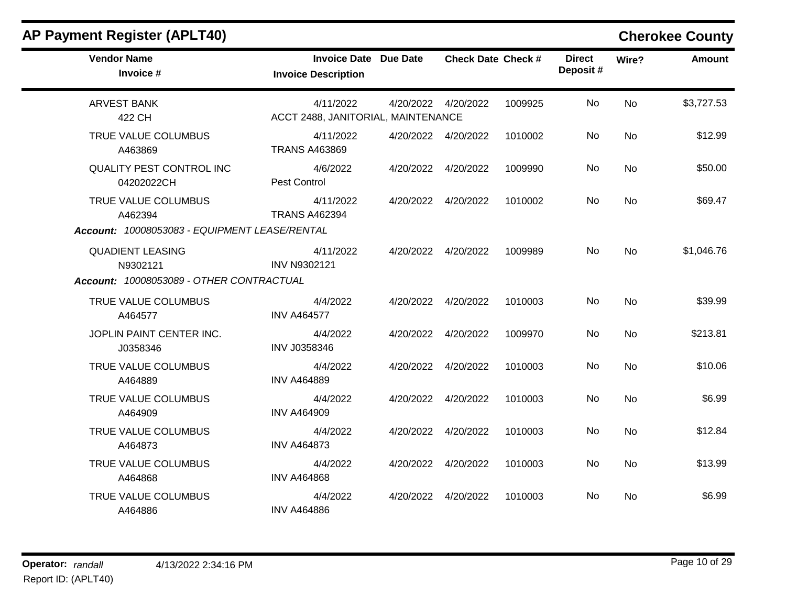| <b>AP Payment Register (APLT40)</b>           |                                                            |           |                           |         |                           |           | <b>Cherokee County</b> |
|-----------------------------------------------|------------------------------------------------------------|-----------|---------------------------|---------|---------------------------|-----------|------------------------|
| <b>Vendor Name</b><br>Invoice #               | <b>Invoice Date Due Date</b><br><b>Invoice Description</b> |           | <b>Check Date Check #</b> |         | <b>Direct</b><br>Deposit# | Wire?     | Amount                 |
| <b>ARVEST BANK</b><br>422 CH                  | 4/11/2022<br>ACCT 2488, JANITORIAL, MAINTENANCE            |           | 4/20/2022  4/20/2022      | 1009925 | No.                       | No        | \$3,727.53             |
| TRUE VALUE COLUMBUS<br>A463869                | 4/11/2022<br><b>TRANS A463869</b>                          |           | 4/20/2022  4/20/2022      | 1010002 | No                        | <b>No</b> | \$12.99                |
| <b>QUALITY PEST CONTROL INC</b><br>04202022CH | 4/6/2022<br><b>Pest Control</b>                            |           | 4/20/2022  4/20/2022      | 1009990 | No                        | <b>No</b> | \$50.00                |
| TRUE VALUE COLUMBUS<br>A462394                | 4/11/2022<br><b>TRANS A462394</b>                          |           | 4/20/2022  4/20/2022      | 1010002 | <b>No</b>                 | <b>No</b> | \$69.47                |
| Account: 10008053083 - EQUIPMENT LEASE/RENTAL |                                                            |           |                           |         |                           |           |                        |
| <b>QUADIENT LEASING</b><br>N9302121           | 4/11/2022<br><b>INV N9302121</b>                           |           | 4/20/2022  4/20/2022      | 1009989 | No.                       | <b>No</b> | \$1,046.76             |
| Account: 10008053089 - OTHER CONTRACTUAL      |                                                            |           |                           |         |                           |           |                        |
| TRUE VALUE COLUMBUS<br>A464577                | 4/4/2022<br><b>INV A464577</b>                             |           | 4/20/2022  4/20/2022      | 1010003 | No.                       | No        | \$39.99                |
| JOPLIN PAINT CENTER INC.<br>J0358346          | 4/4/2022<br>INV J0358346                                   |           | 4/20/2022 4/20/2022       | 1009970 | No                        | No        | \$213.81               |
| TRUE VALUE COLUMBUS<br>A464889                | 4/4/2022<br><b>INV A464889</b>                             |           | 4/20/2022  4/20/2022      | 1010003 | No                        | No        | \$10.06                |
| TRUE VALUE COLUMBUS<br>A464909                | 4/4/2022<br><b>INV A464909</b>                             | 4/20/2022 | 4/20/2022                 | 1010003 | No.                       | No        | \$6.99                 |
| TRUE VALUE COLUMBUS<br>A464873                | 4/4/2022<br><b>INV A464873</b>                             |           | 4/20/2022  4/20/2022      | 1010003 | No                        | No        | \$12.84                |
| TRUE VALUE COLUMBUS<br>A464868                | 4/4/2022<br><b>INV A464868</b>                             |           | 4/20/2022  4/20/2022      | 1010003 | No.                       | <b>No</b> | \$13.99                |
| TRUE VALUE COLUMBUS<br>A464886                | 4/4/2022<br><b>INV A464886</b>                             |           | 4/20/2022  4/20/2022      | 1010003 | No                        | <b>No</b> | \$6.99                 |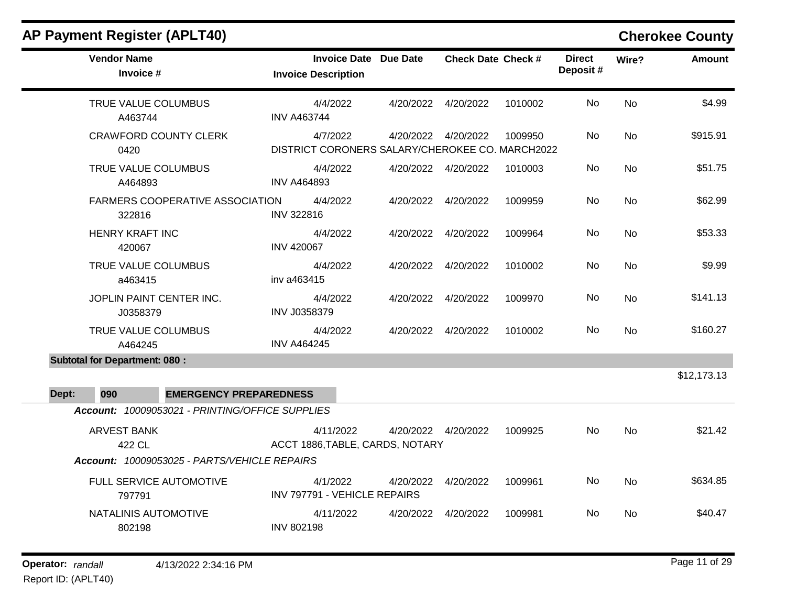|       | <b>AP Payment Register (APLT40)</b>              |                     |                                                             |           |                           |         |                           |           | <b>Cherokee County</b> |
|-------|--------------------------------------------------|---------------------|-------------------------------------------------------------|-----------|---------------------------|---------|---------------------------|-----------|------------------------|
|       | <b>Vendor Name</b><br>Invoice #                  |                     | <b>Invoice Date Due Date</b><br><b>Invoice Description</b>  |           | <b>Check Date Check #</b> |         | <b>Direct</b><br>Deposit# | Wire?     | <b>Amount</b>          |
|       | TRUE VALUE COLUMBUS<br>A463744                   | <b>INV A463744</b>  | 4/4/2022                                                    | 4/20/2022 | 4/20/2022                 | 1010002 | No                        | <b>No</b> | \$4.99                 |
|       | <b>CRAWFORD COUNTY CLERK</b><br>0420             |                     | 4/7/2022<br>DISTRICT CORONERS SALARY/CHEROKEE CO. MARCH2022 |           | 4/20/2022 4/20/2022       | 1009950 | No                        | No        | \$915.91               |
|       | TRUE VALUE COLUMBUS<br>A464893                   | <b>INV A464893</b>  | 4/4/2022                                                    |           | 4/20/2022 4/20/2022       | 1010003 | No                        | <b>No</b> | \$51.75                |
|       | <b>FARMERS COOPERATIVE ASSOCIATION</b><br>322816 | <b>INV 322816</b>   | 4/4/2022                                                    |           | 4/20/2022  4/20/2022      | 1009959 | No                        | <b>No</b> | \$62.99                |
|       | <b>HENRY KRAFT INC</b><br>420067                 | <b>INV 420067</b>   | 4/4/2022                                                    | 4/20/2022 | 4/20/2022                 | 1009964 | No                        | <b>No</b> | \$53.33                |
|       | TRUE VALUE COLUMBUS<br>a463415                   | inv a463415         | 4/4/2022                                                    | 4/20/2022 | 4/20/2022                 | 1010002 | No                        | <b>No</b> | \$9.99                 |
|       | JOPLIN PAINT CENTER INC.<br>J0358379             | <b>INV J0358379</b> | 4/4/2022                                                    | 4/20/2022 | 4/20/2022                 | 1009970 | No                        | <b>No</b> | \$141.13               |
|       | TRUE VALUE COLUMBUS<br>A464245                   | <b>INV A464245</b>  | 4/4/2022                                                    |           | 4/20/2022 4/20/2022       | 1010002 | No.                       | <b>No</b> | \$160.27               |
|       | <b>Subtotal for Department: 080:</b>             |                     |                                                             |           |                           |         |                           |           |                        |
| Dept: | <b>EMERGENCY PREPAREDNESS</b><br>090             |                     |                                                             |           |                           |         |                           |           | \$12,173.13            |
|       | Account: 10009053021 - PRINTING/OFFICE SUPPLIES  |                     |                                                             |           |                           |         |                           |           |                        |
|       | <b>ARVEST BANK</b><br>422 CL                     |                     | 4/11/2022<br>ACCT 1886, TABLE, CARDS, NOTARY                |           | 4/20/2022  4/20/2022      | 1009925 | No                        | <b>No</b> | \$21.42                |
|       | Account: 10009053025 - PARTS/VEHICLE REPAIRS     |                     |                                                             |           |                           |         |                           |           |                        |
|       | <b>FULL SERVICE AUTOMOTIVE</b>                   |                     | 4/1/2022                                                    | 4/20/2022 | 4/20/2022                 | 1009961 | No.                       | No.       | \$634.85               |

INV 797791 - VEHICLE REPAIRS

INV 802198

4/11/2022 4/20/2022 4/20/2022 1009981 No \$40.47

No

797791

802198

NATALINIS AUTOMOTIVE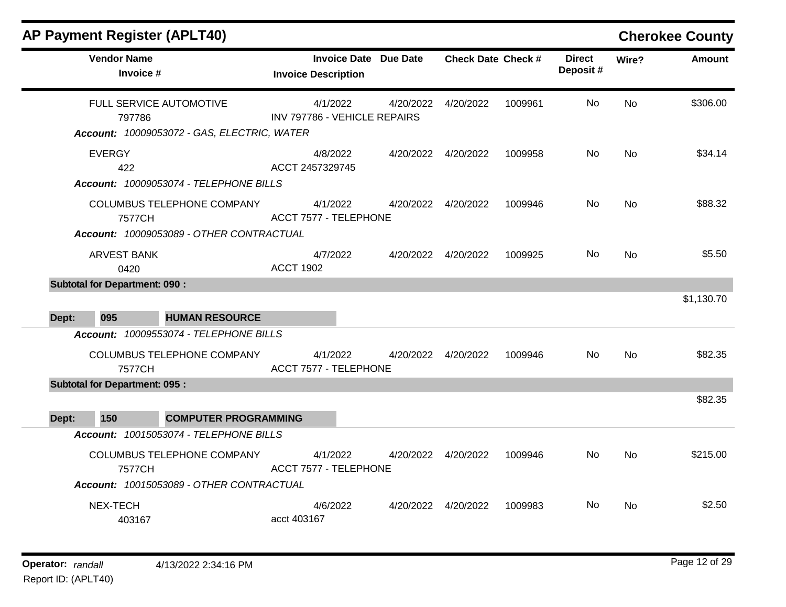| <b>AP Payment Register (APLT40)</b>                                                          |                                   |                              |          |                              |                           |         |                            |           | <b>Cherokee County</b> |
|----------------------------------------------------------------------------------------------|-----------------------------------|------------------------------|----------|------------------------------|---------------------------|---------|----------------------------|-----------|------------------------|
| <b>Vendor Name</b><br>Invoice #                                                              |                                   | <b>Invoice Description</b>   |          | <b>Invoice Date Due Date</b> | <b>Check Date Check #</b> |         | <b>Direct</b><br>Deposit # | Wire?     | Amount                 |
| FULL SERVICE AUTOMOTIVE<br>797786<br>Account: 10009053072 - GAS, ELECTRIC, WATER             |                                   | INV 797786 - VEHICLE REPAIRS | 4/1/2022 |                              | 4/20/2022  4/20/2022      | 1009961 | No.                        | <b>No</b> | \$306.00               |
| <b>EVERGY</b><br>422<br>Account: 10009053074 - TELEPHONE BILLS                               |                                   | ACCT 2457329745              | 4/8/2022 |                              | 4/20/2022 4/20/2022       | 1009958 | No.                        | <b>No</b> | \$34.14                |
| 7577CH                                                                                       | <b>COLUMBUS TELEPHONE COMPANY</b> | <b>ACCT 7577 - TELEPHONE</b> | 4/1/2022 |                              | 4/20/2022  4/20/2022      | 1009946 | No                         | <b>No</b> | \$88.32                |
| Account: 10009053089 - OTHER CONTRACTUAL<br><b>ARVEST BANK</b><br>0420                       |                                   | <b>ACCT 1902</b>             | 4/7/2022 |                              | 4/20/2022  4/20/2022      | 1009925 | No.                        | <b>No</b> | \$5.50                 |
| <b>Subtotal for Department: 090:</b><br>095<br>Dept:                                         | <b>HUMAN RESOURCE</b>             |                              |          |                              |                           |         |                            |           | \$1,130.70             |
| Account: 10009553074 - TELEPHONE BILLS<br>7577CH                                             | COLUMBUS TELEPHONE COMPANY        | ACCT 7577 - TELEPHONE        | 4/1/2022 |                              | 4/20/2022 4/20/2022       | 1009946 | No.                        | <b>No</b> | \$82.35                |
| <b>Subtotal for Department: 095:</b><br>150<br>Dept:                                         | <b>COMPUTER PROGRAMMING</b>       |                              |          |                              |                           |         |                            |           | \$82.35                |
| Account: 10015053074 - TELEPHONE BILLS<br>7577CH<br>Account: 10015053089 - OTHER CONTRACTUAL | COLUMBUS TELEPHONE COMPANY        | ACCT 7577 - TELEPHONE        | 4/1/2022 |                              | 4/20/2022  4/20/2022      | 1009946 | No.                        | <b>No</b> | \$215.00               |
| NEX-TECH<br>403167                                                                           |                                   | acct 403167                  | 4/6/2022 |                              | 4/20/2022 4/20/2022       | 1009983 | No.                        | No.       | \$2.50                 |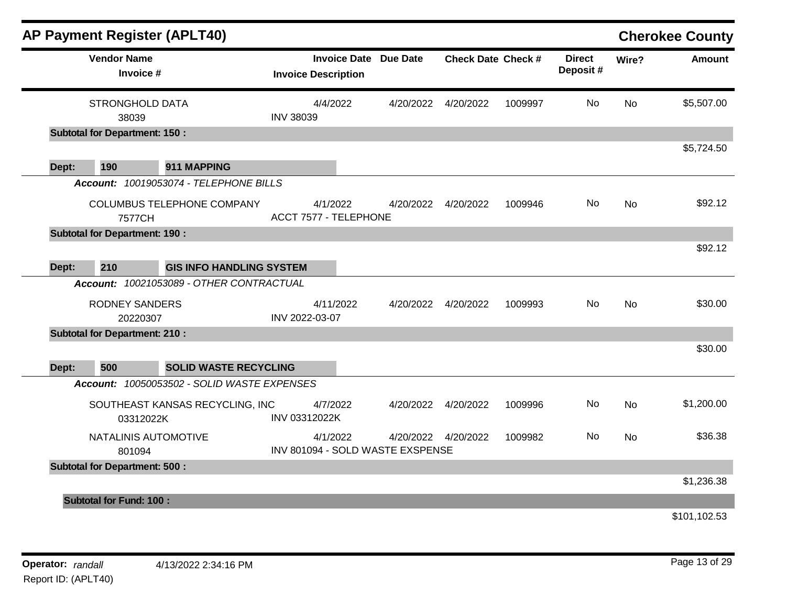|       | <b>AP Payment Register (APLT40)</b>  |                                             |                  |                                                            |                                  |                           |         |                           |           | <b>Cherokee County</b> |
|-------|--------------------------------------|---------------------------------------------|------------------|------------------------------------------------------------|----------------------------------|---------------------------|---------|---------------------------|-----------|------------------------|
|       | <b>Vendor Name</b><br>Invoice #      |                                             |                  | <b>Invoice Date Due Date</b><br><b>Invoice Description</b> |                                  | <b>Check Date Check #</b> |         | <b>Direct</b><br>Deposit# | Wire?     | <b>Amount</b>          |
|       | <b>STRONGHOLD DATA</b><br>38039      |                                             | <b>INV 38039</b> | 4/4/2022                                                   | 4/20/2022                        | 4/20/2022                 | 1009997 | No                        | <b>No</b> | \$5,507.00             |
|       | <b>Subtotal for Department: 150:</b> |                                             |                  |                                                            |                                  |                           |         |                           |           |                        |
| Dept: | 190                                  | 911 MAPPING                                 |                  |                                                            |                                  |                           |         |                           |           | \$5,724.50             |
|       |                                      | Account: 10019053074 - TELEPHONE BILLS      |                  |                                                            |                                  |                           |         |                           |           |                        |
|       | 7577CH                               | COLUMBUS TELEPHONE COMPANY                  |                  | 4/1/2022<br><b>ACCT 7577 - TELEPHONE</b>                   | 4/20/2022                        | 4/20/2022                 | 1009946 | No                        | <b>No</b> | \$92.12                |
|       | <b>Subtotal for Department: 190:</b> |                                             |                  |                                                            |                                  |                           |         |                           |           |                        |
| Dept: | 210                                  | <b>GIS INFO HANDLING SYSTEM</b>             |                  |                                                            |                                  |                           |         |                           |           | \$92.12                |
|       |                                      | Account: 10021053089 - OTHER CONTRACTUAL    |                  |                                                            |                                  |                           |         |                           |           |                        |
|       | <b>RODNEY SANDERS</b><br>20220307    |                                             | INV 2022-03-07   | 4/11/2022                                                  |                                  | 4/20/2022  4/20/2022      | 1009993 | No.                       | <b>No</b> | \$30.00                |
|       | <b>Subtotal for Department: 210:</b> |                                             |                  |                                                            |                                  |                           |         |                           |           |                        |
|       |                                      |                                             |                  |                                                            |                                  |                           |         |                           |           | \$30.00                |
| Dept: | 500                                  | <b>SOLID WASTE RECYCLING</b>                |                  |                                                            |                                  |                           |         |                           |           |                        |
|       |                                      | Account: 10050053502 - SOLID WASTE EXPENSES |                  |                                                            |                                  |                           |         |                           |           |                        |
|       | 03312022K                            | SOUTHEAST KANSAS RECYCLING, INC             | INV 03312022K    | 4/7/2022                                                   | 4/20/2022                        | 4/20/2022                 | 1009996 | No                        | <b>No</b> | \$1,200.00             |
|       | NATALINIS AUTOMOTIVE<br>801094       |                                             |                  | 4/1/2022                                                   | INV 801094 - SOLD WASTE EXSPENSE | 4/20/2022  4/20/2022      | 1009982 | No.                       | No        | \$36.38                |
|       | <b>Subtotal for Department: 500:</b> |                                             |                  |                                                            |                                  |                           |         |                           |           |                        |
|       |                                      |                                             |                  |                                                            |                                  |                           |         |                           |           | \$1,236.38             |
|       | <b>Subtotal for Fund: 100:</b>       |                                             |                  |                                                            |                                  |                           |         |                           |           |                        |
|       |                                      |                                             |                  |                                                            |                                  |                           |         |                           |           | \$101,102.53           |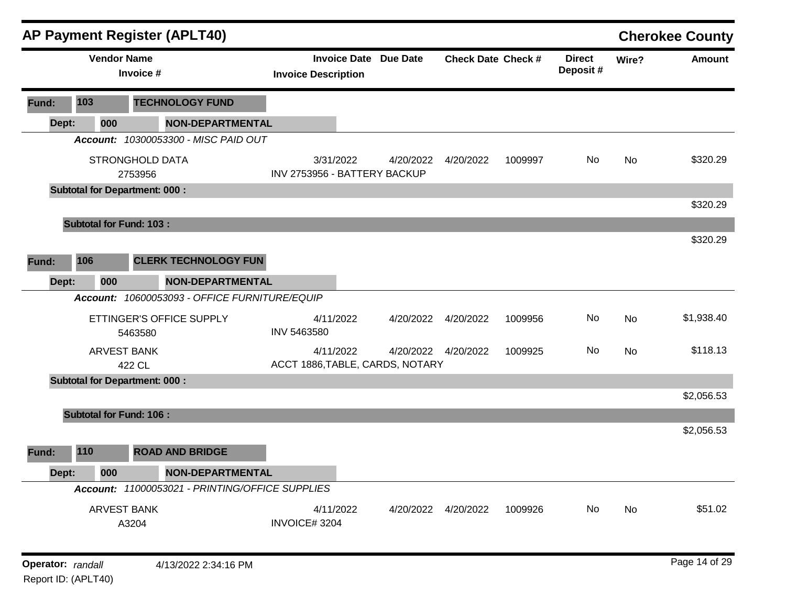|                   |       |                    | <b>AP Payment Register (APLT40)</b>             |                                                            |           |                           |         |                           |       | <b>Cherokee County</b> |
|-------------------|-------|--------------------|-------------------------------------------------|------------------------------------------------------------|-----------|---------------------------|---------|---------------------------|-------|------------------------|
|                   |       | <b>Vendor Name</b> | Invoice #                                       | <b>Invoice Date Due Date</b><br><b>Invoice Description</b> |           | <b>Check Date Check #</b> |         | <b>Direct</b><br>Deposit# | Wire? | <b>Amount</b>          |
| Fund:             | 103   |                    | <b>TECHNOLOGY FUND</b>                          |                                                            |           |                           |         |                           |       |                        |
| Dept:             |       | 000                | NON-DEPARTMENTAL                                |                                                            |           |                           |         |                           |       |                        |
|                   |       |                    | Account: 10300053300 - MISC PAID OUT            |                                                            |           |                           |         |                           |       |                        |
|                   |       |                    | STRONGHOLD DATA<br>2753956                      | 3/31/2022<br>INV 2753956 - BATTERY BACKUP                  | 4/20/2022 | 4/20/2022                 | 1009997 | No                        | No    | \$320.29               |
|                   |       |                    | <b>Subtotal for Department: 000:</b>            |                                                            |           |                           |         |                           |       |                        |
|                   |       |                    |                                                 |                                                            |           |                           |         |                           |       | \$320.29               |
|                   |       |                    | <b>Subtotal for Fund: 103:</b>                  |                                                            |           |                           |         |                           |       |                        |
|                   |       |                    |                                                 |                                                            |           |                           |         |                           |       | \$320.29               |
| Fund:             | 106   |                    | <b>CLERK TECHNOLOGY FUN</b>                     |                                                            |           |                           |         |                           |       |                        |
| Dept:             |       | 000                | <b>NON-DEPARTMENTAL</b>                         |                                                            |           |                           |         |                           |       |                        |
|                   |       |                    | Account: 10600053093 - OFFICE FURNITURE/EQUIP   |                                                            |           |                           |         |                           |       |                        |
|                   |       |                    | ETTINGER'S OFFICE SUPPLY<br>5463580             | 4/11/2022<br>INV 5463580                                   | 4/20/2022 | 4/20/2022                 | 1009956 | No                        | No    | \$1,938.40             |
|                   |       |                    | <b>ARVEST BANK</b><br>422 CL                    | 4/11/2022<br>ACCT 1886, TABLE, CARDS, NOTARY               |           | 4/20/2022  4/20/2022      | 1009925 | No                        | No    | \$118.13               |
|                   |       |                    | <b>Subtotal for Department: 000:</b>            |                                                            |           |                           |         |                           |       |                        |
|                   |       |                    |                                                 |                                                            |           |                           |         |                           |       | \$2,056.53             |
|                   |       |                    | <b>Subtotal for Fund: 106:</b>                  |                                                            |           |                           |         |                           |       |                        |
| Fund:             | 110   |                    | <b>ROAD AND BRIDGE</b>                          |                                                            |           |                           |         |                           |       | \$2,056.53             |
|                   | Dept: | 000                | <b>NON-DEPARTMENTAL</b>                         |                                                            |           |                           |         |                           |       |                        |
|                   |       |                    | Account: 11000053021 - PRINTING/OFFICE SUPPLIES |                                                            |           |                           |         |                           |       |                        |
|                   |       |                    | ARVEST BANK<br>A3204                            | 4/11/2022<br>INVOICE#3204                                  |           | 4/20/2022  4/20/2022      | 1009926 | No                        | No    | \$51.02                |
| Operator: randall |       |                    | 4/13/2022 2:34:16 PM                            |                                                            |           |                           |         |                           |       | Page 14 of 29          |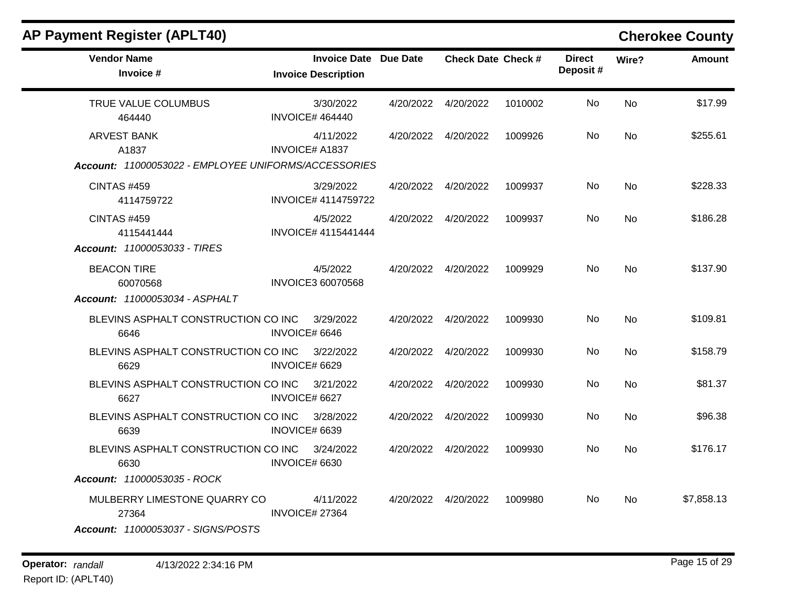| $\mathbf{r}$ a grifter in grid to $\mathbf{r}$                                                   |                                                            |           |                           |         |                           |           | <b>OTICLASS ANTILY</b> |
|--------------------------------------------------------------------------------------------------|------------------------------------------------------------|-----------|---------------------------|---------|---------------------------|-----------|------------------------|
| <b>Vendor Name</b><br>Invoice #                                                                  | <b>Invoice Date Due Date</b><br><b>Invoice Description</b> |           | <b>Check Date Check #</b> |         | <b>Direct</b><br>Deposit# | Wire?     | <b>Amount</b>          |
| TRUE VALUE COLUMBUS<br>464440                                                                    | 3/30/2022<br><b>INVOICE# 464440</b>                        | 4/20/2022 | 4/20/2022                 | 1010002 | No.                       | <b>No</b> | \$17.99                |
| <b>ARVEST BANK</b><br>A1837<br>Account: 11000053022 - EMPLOYEE UNIFORMS/ACCESSORIES              | 4/11/2022<br><b>INVOICE# A1837</b>                         | 4/20/2022 | 4/20/2022                 | 1009926 | No                        | <b>No</b> | \$255.61               |
| <b>CINTAS #459</b><br>4114759722                                                                 | 3/29/2022<br>INVOICE# 4114759722                           | 4/20/2022 | 4/20/2022                 | 1009937 | No                        | <b>No</b> | \$228.33               |
| <b>CINTAS #459</b><br>4115441444                                                                 | 4/5/2022<br>INVOICE# 4115441444                            | 4/20/2022 | 4/20/2022                 | 1009937 | No                        | <b>No</b> | \$186.28               |
| Account: 11000053033 - TIRES<br><b>BEACON TIRE</b><br>60070568<br>Account: 11000053034 - ASPHALT | 4/5/2022<br><b>INVOICE3 60070568</b>                       |           | 4/20/2022  4/20/2022      | 1009929 | No.                       | <b>No</b> | \$137.90               |
| BLEVINS ASPHALT CONSTRUCTION CO INC<br>6646                                                      | 3/29/2022<br>INVOICE# 6646                                 | 4/20/2022 | 4/20/2022                 | 1009930 | No                        | <b>No</b> | \$109.81               |
| BLEVINS ASPHALT CONSTRUCTION CO INC<br>6629                                                      | 3/22/2022<br>INVOICE# 6629                                 | 4/20/2022 | 4/20/2022                 | 1009930 | No                        | <b>No</b> | \$158.79               |
| BLEVINS ASPHALT CONSTRUCTION CO INC<br>6627                                                      | 3/21/2022<br>INVOICE# 6627                                 | 4/20/2022 | 4/20/2022                 | 1009930 | No                        | <b>No</b> | \$81.37                |
| BLEVINS ASPHALT CONSTRUCTION CO INC<br>6639                                                      | 3/28/2022<br>INOVICE# 6639                                 | 4/20/2022 | 4/20/2022                 | 1009930 | No                        | <b>No</b> | \$96.38                |
| BLEVINS ASPHALT CONSTRUCTION CO INC<br>6630                                                      | 3/24/2022<br>INVOICE# 6630                                 | 4/20/2022 | 4/20/2022                 | 1009930 | <b>No</b>                 | No        | \$176.17               |
| Account: 11000053035 - ROCK                                                                      |                                                            |           |                           |         |                           |           |                        |
| MULBERRY LIMESTONE QUARRY CO<br>27364<br>Account: 11000053037 - SIGNS/POSTS                      | 4/11/2022<br>INVOICE# 27364                                |           | 4/20/2022  4/20/2022      | 1009980 | No.                       | No        | \$7,858.13             |

**Operator:** randall 4/13/2022 2:34:16 PM Report ID: (APLT40)

## **AP Payment Register (APLT40) Cherokee County**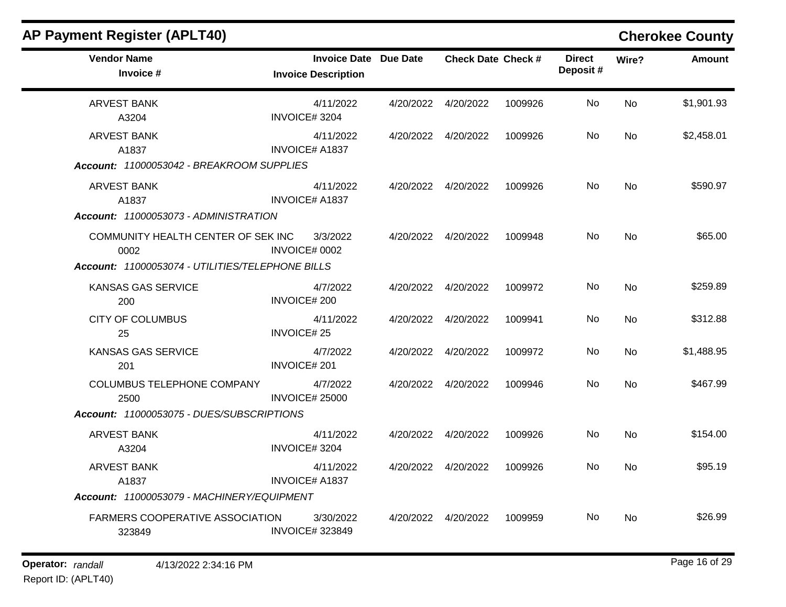| <b>Vendor Name</b><br><b>Invoice Date Due Date</b><br><b>Direct</b><br><b>Check Date Check #</b><br>Wire?<br>Deposit#<br>Invoice #<br><b>Invoice Description</b><br><b>ARVEST BANK</b><br>4/11/2022<br>4/20/2022  4/20/2022<br>1009926<br>No.<br>No<br>INVOICE#3204<br>A3204<br><b>ARVEST BANK</b><br>No<br>4/20/2022  4/20/2022<br>1009926<br><b>No</b><br>4/11/2022<br><b>INVOICE# A1837</b><br>A1837<br>Account: 11000053042 - BREAKROOM SUPPLIES<br>No<br><b>No</b><br><b>ARVEST BANK</b><br>4/11/2022<br>4/20/2022 4/20/2022<br>1009926<br><b>INVOICE# A1837</b><br>A1837<br>Account: 11000053073 - ADMINISTRATION<br>3/3/2022<br>4/20/2022  4/20/2022<br>No<br><b>No</b><br>COMMUNITY HEALTH CENTER OF SEK INC<br>1009948<br>INVOICE# 0002<br>0002<br>Account: 11000053074 - UTILITIES/TELEPHONE BILLS<br>KANSAS GAS SERVICE<br>4/7/2022<br>No<br><b>No</b><br>4/20/2022  4/20/2022<br>1009972<br><b>INVOICE#200</b><br>200<br><b>CITY OF COLUMBUS</b><br>4/11/2022<br>1009941<br>No.<br><b>No</b><br>4/20/2022 4/20/2022<br><b>INVOICE#25</b><br>25<br>No<br><b>KANSAS GAS SERVICE</b><br>4/7/2022<br>4/20/2022  4/20/2022<br>1009972<br><b>No</b><br>INVOICE#201<br>201<br>COLUMBUS TELEPHONE COMPANY<br>4/7/2022<br>No.<br>4/20/2022  4/20/2022<br>1009946<br><b>No</b><br><b>INVOICE# 25000</b><br>2500<br>Account: 11000053075 - DUES/SUBSCRIPTIONS<br>No.<br><b>ARVEST BANK</b><br>4/11/2022<br>4/20/2022  4/20/2022<br>1009926<br><b>No</b><br>INVOICE#3204<br>A3204<br><b>ARVEST BANK</b><br>4/11/2022<br>4/20/2022  4/20/2022<br>1009926<br>No<br>No<br><b>INVOICE# A1837</b><br>A1837<br>Account: 11000053079 - MACHINERY/EQUIPMENT<br>FARMERS COOPERATIVE ASSOCIATION<br>3/30/2022<br>No.<br>4/20/2022  4/20/2022<br>1009959<br>No<br><b>INVOICE#323849</b><br>323849 | $\frac{1}{2}$ |  |  |  | <b>ONGIORGE OUGHLY</b> |
|----------------------------------------------------------------------------------------------------------------------------------------------------------------------------------------------------------------------------------------------------------------------------------------------------------------------------------------------------------------------------------------------------------------------------------------------------------------------------------------------------------------------------------------------------------------------------------------------------------------------------------------------------------------------------------------------------------------------------------------------------------------------------------------------------------------------------------------------------------------------------------------------------------------------------------------------------------------------------------------------------------------------------------------------------------------------------------------------------------------------------------------------------------------------------------------------------------------------------------------------------------------------------------------------------------------------------------------------------------------------------------------------------------------------------------------------------------------------------------------------------------------------------------------------------------------------------------------------------------------------------------------------------------------------------------------------------------------------------------------------------------------------------------------|---------------|--|--|--|------------------------|
|                                                                                                                                                                                                                                                                                                                                                                                                                                                                                                                                                                                                                                                                                                                                                                                                                                                                                                                                                                                                                                                                                                                                                                                                                                                                                                                                                                                                                                                                                                                                                                                                                                                                                                                                                                                        |               |  |  |  | <b>Amount</b>          |
|                                                                                                                                                                                                                                                                                                                                                                                                                                                                                                                                                                                                                                                                                                                                                                                                                                                                                                                                                                                                                                                                                                                                                                                                                                                                                                                                                                                                                                                                                                                                                                                                                                                                                                                                                                                        |               |  |  |  | \$1,901.93             |
|                                                                                                                                                                                                                                                                                                                                                                                                                                                                                                                                                                                                                                                                                                                                                                                                                                                                                                                                                                                                                                                                                                                                                                                                                                                                                                                                                                                                                                                                                                                                                                                                                                                                                                                                                                                        |               |  |  |  | \$2,458.01             |
|                                                                                                                                                                                                                                                                                                                                                                                                                                                                                                                                                                                                                                                                                                                                                                                                                                                                                                                                                                                                                                                                                                                                                                                                                                                                                                                                                                                                                                                                                                                                                                                                                                                                                                                                                                                        |               |  |  |  | \$590.97               |
|                                                                                                                                                                                                                                                                                                                                                                                                                                                                                                                                                                                                                                                                                                                                                                                                                                                                                                                                                                                                                                                                                                                                                                                                                                                                                                                                                                                                                                                                                                                                                                                                                                                                                                                                                                                        |               |  |  |  | \$65.00                |
|                                                                                                                                                                                                                                                                                                                                                                                                                                                                                                                                                                                                                                                                                                                                                                                                                                                                                                                                                                                                                                                                                                                                                                                                                                                                                                                                                                                                                                                                                                                                                                                                                                                                                                                                                                                        |               |  |  |  | \$259.89               |
|                                                                                                                                                                                                                                                                                                                                                                                                                                                                                                                                                                                                                                                                                                                                                                                                                                                                                                                                                                                                                                                                                                                                                                                                                                                                                                                                                                                                                                                                                                                                                                                                                                                                                                                                                                                        |               |  |  |  | \$312.88               |
|                                                                                                                                                                                                                                                                                                                                                                                                                                                                                                                                                                                                                                                                                                                                                                                                                                                                                                                                                                                                                                                                                                                                                                                                                                                                                                                                                                                                                                                                                                                                                                                                                                                                                                                                                                                        |               |  |  |  | \$1,488.95             |
|                                                                                                                                                                                                                                                                                                                                                                                                                                                                                                                                                                                                                                                                                                                                                                                                                                                                                                                                                                                                                                                                                                                                                                                                                                                                                                                                                                                                                                                                                                                                                                                                                                                                                                                                                                                        |               |  |  |  | \$467.99               |
|                                                                                                                                                                                                                                                                                                                                                                                                                                                                                                                                                                                                                                                                                                                                                                                                                                                                                                                                                                                                                                                                                                                                                                                                                                                                                                                                                                                                                                                                                                                                                                                                                                                                                                                                                                                        |               |  |  |  | \$154.00               |
|                                                                                                                                                                                                                                                                                                                                                                                                                                                                                                                                                                                                                                                                                                                                                                                                                                                                                                                                                                                                                                                                                                                                                                                                                                                                                                                                                                                                                                                                                                                                                                                                                                                                                                                                                                                        |               |  |  |  | \$95.19                |
|                                                                                                                                                                                                                                                                                                                                                                                                                                                                                                                                                                                                                                                                                                                                                                                                                                                                                                                                                                                                                                                                                                                                                                                                                                                                                                                                                                                                                                                                                                                                                                                                                                                                                                                                                                                        |               |  |  |  | \$26.99                |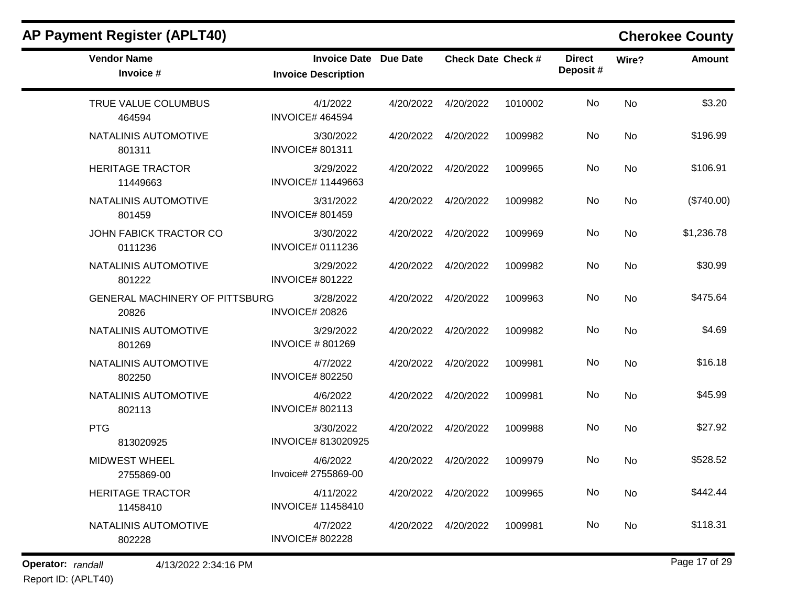| <b>AP Payment Register (APLT40)</b>            |                                                            |           |                           |         |                            |       | <b>Cherokee County</b> |
|------------------------------------------------|------------------------------------------------------------|-----------|---------------------------|---------|----------------------------|-------|------------------------|
| <b>Vendor Name</b><br>Invoice #                | <b>Invoice Date Due Date</b><br><b>Invoice Description</b> |           | <b>Check Date Check #</b> |         | <b>Direct</b><br>Deposit # | Wire? | <b>Amount</b>          |
| TRUE VALUE COLUMBUS<br>464594                  | 4/1/2022<br><b>INVOICE# 464594</b>                         | 4/20/2022 | 4/20/2022                 | 1010002 | No                         | No    | \$3.20                 |
| NATALINIS AUTOMOTIVE<br>801311                 | 3/30/2022<br><b>INVOICE# 801311</b>                        | 4/20/2022 | 4/20/2022                 | 1009982 | No                         | No    | \$196.99               |
| <b>HERITAGE TRACTOR</b><br>11449663            | 3/29/2022<br><b>INVOICE# 11449663</b>                      | 4/20/2022 | 4/20/2022                 | 1009965 | No                         | No    | \$106.91               |
| NATALINIS AUTOMOTIVE<br>801459                 | 3/31/2022<br><b>INVOICE# 801459</b>                        | 4/20/2022 | 4/20/2022                 | 1009982 | No                         | No    | (\$740.00)             |
| JOHN FABICK TRACTOR CO<br>0111236              | 3/30/2022<br><b>INVOICE# 0111236</b>                       | 4/20/2022 | 4/20/2022                 | 1009969 | No                         | No    | \$1,236.78             |
| NATALINIS AUTOMOTIVE<br>801222                 | 3/29/2022<br><b>INVOICE# 801222</b>                        | 4/20/2022 | 4/20/2022                 | 1009982 | No                         | No    | \$30.99                |
| <b>GENERAL MACHINERY OF PITTSBURG</b><br>20826 | 3/28/2022<br><b>INVOICE# 20826</b>                         | 4/20/2022 | 4/20/2022                 | 1009963 | No                         | No    | \$475.64               |
| NATALINIS AUTOMOTIVE<br>801269                 | 3/29/2022<br><b>INVOICE #801269</b>                        | 4/20/2022 | 4/20/2022                 | 1009982 | No                         | No    | \$4.69                 |
| NATALINIS AUTOMOTIVE<br>802250                 | 4/7/2022<br><b>INVOICE# 802250</b>                         | 4/20/2022 | 4/20/2022                 | 1009981 | No                         | No    | \$16.18                |
| NATALINIS AUTOMOTIVE<br>802113                 | 4/6/2022<br><b>INVOICE# 802113</b>                         | 4/20/2022 | 4/20/2022                 | 1009981 | No                         | No    | \$45.99                |
| <b>PTG</b><br>813020925                        | 3/30/2022<br>INVOICE# 813020925                            | 4/20/2022 | 4/20/2022                 | 1009988 | No                         | No    | \$27.92                |
| <b>MIDWEST WHEEL</b><br>2755869-00             | 4/6/2022<br>Invoice# 2755869-00                            | 4/20/2022 | 4/20/2022                 | 1009979 | No                         | No    | \$528.52               |
| <b>HERITAGE TRACTOR</b><br>11458410            | 4/11/2022<br><b>INVOICE# 11458410</b>                      |           | 4/20/2022  4/20/2022      | 1009965 | No                         | No    | \$442.44               |
| NATALINIS AUTOMOTIVE<br>802228                 | 4/7/2022<br><b>INVOICE# 802228</b>                         |           | 4/20/2022  4/20/2022      | 1009981 | No                         | No    | \$118.31               |

**Operator:** randall 4/13/2022 2:34:16 PM

Report ID: (APLT40)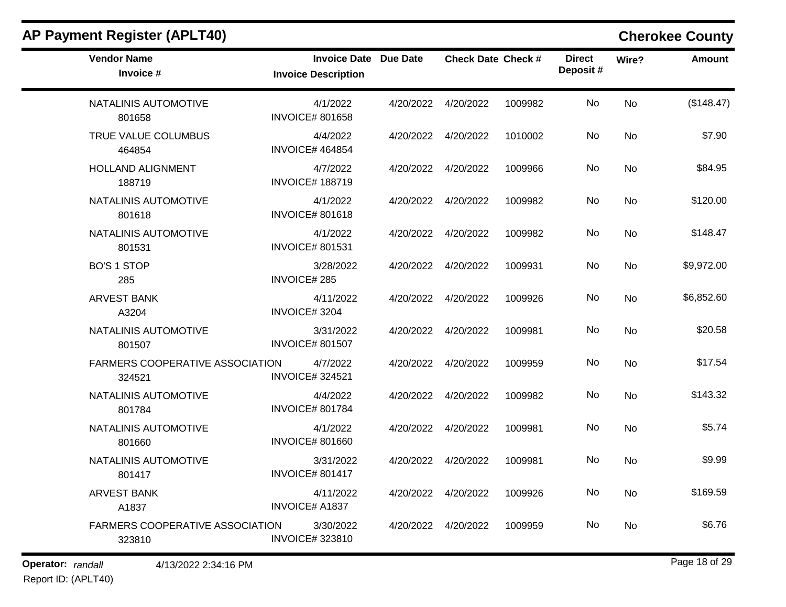| <b>Vendor Name</b><br>Invoice #                  | Invoice Date Due Date<br><b>Invoice Description</b> |                      | <b>Check Date Check #</b> |         | <b>Direct</b><br>Deposit# | Wire?     | Amount     |
|--------------------------------------------------|-----------------------------------------------------|----------------------|---------------------------|---------|---------------------------|-----------|------------|
| NATALINIS AUTOMOTIVE<br>801658                   | 4/1/2022<br><b>INVOICE# 801658</b>                  |                      | 4/20/2022  4/20/2022      | 1009982 | No                        | <b>No</b> | (\$148.47) |
| TRUE VALUE COLUMBUS<br>464854                    | 4/4/2022<br><b>INVOICE# 464854</b>                  |                      | 4/20/2022  4/20/2022      | 1010002 | No                        | No        | \$7.90     |
| <b>HOLLAND ALIGNMENT</b><br>188719               | 4/7/2022<br><b>INVOICE# 188719</b>                  |                      | 4/20/2022 4/20/2022       | 1009966 | No                        | <b>No</b> | \$84.95    |
| NATALINIS AUTOMOTIVE<br>801618                   | 4/1/2022<br><b>INVOICE# 801618</b>                  |                      | 4/20/2022 4/20/2022       | 1009982 | No                        | <b>No</b> | \$120.00   |
| NATALINIS AUTOMOTIVE<br>801531                   | 4/1/2022<br><b>INVOICE#801531</b>                   |                      | 4/20/2022  4/20/2022      | 1009982 | No                        | No        | \$148.47   |
| <b>BO'S 1 STOP</b><br>285                        | 3/28/2022<br><b>INVOICE#285</b>                     | 4/20/2022  4/20/2022 |                           | 1009931 | No                        | No        | \$9,972.00 |
| <b>ARVEST BANK</b><br>A3204                      | 4/11/2022<br>INVOICE#3204                           | 4/20/2022  4/20/2022 |                           | 1009926 | No                        | <b>No</b> | \$6,852.60 |
| NATALINIS AUTOMOTIVE<br>801507                   | 3/31/2022<br><b>INVOICE# 801507</b>                 | 4/20/2022  4/20/2022 |                           | 1009981 | No                        | No        | \$20.58    |
| <b>FARMERS COOPERATIVE ASSOCIATION</b><br>324521 | 4/7/2022<br><b>INVOICE#324521</b>                   | 4/20/2022            | 4/20/2022                 | 1009959 | No                        | <b>No</b> | \$17.54    |
| NATALINIS AUTOMOTIVE<br>801784                   | 4/4/2022<br><b>INVOICE# 801784</b>                  |                      | 4/20/2022  4/20/2022      | 1009982 | No                        | No        | \$143.32   |
| NATALINIS AUTOMOTIVE<br>801660                   | 4/1/2022<br><b>INVOICE# 801660</b>                  | 4/20/2022  4/20/2022 |                           | 1009981 | No                        | No        | \$5.74     |
| NATALINIS AUTOMOTIVE<br>801417                   | 3/31/2022<br><b>INVOICE# 801417</b>                 |                      | 4/20/2022 4/20/2022       | 1009981 | No                        | <b>No</b> | \$9.99     |
| <b>ARVEST BANK</b><br>A1837                      | 4/11/2022<br><b>INVOICE# A1837</b>                  | 4/20/2022  4/20/2022 |                           | 1009926 | No                        | <b>No</b> | \$169.59   |
| FARMERS COOPERATIVE ASSOCIATION<br>323810        | 3/30/2022<br><b>INVOICE#323810</b>                  |                      | 4/20/2022 4/20/2022       | 1009959 | No                        | <b>No</b> | \$6.76     |

## **Operator:** randall 4/13/2022 2:34:16 PM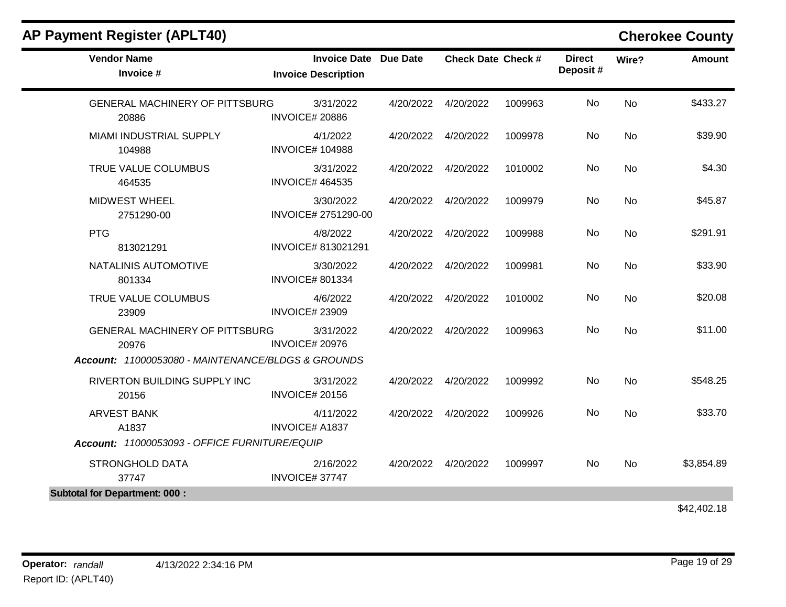| <b>Vendor Name</b><br>Invoice #                                                                      | Invoice Date Due Date<br><b>Invoice Description</b> |           | <b>Check Date Check #</b> |         | <b>Direct</b><br>Deposit# | Wire?     | <b>Amount</b> |
|------------------------------------------------------------------------------------------------------|-----------------------------------------------------|-----------|---------------------------|---------|---------------------------|-----------|---------------|
| <b>GENERAL MACHINERY OF PITTSBURG</b><br>20886                                                       | 3/31/2022<br><b>INVOICE# 20886</b>                  | 4/20/2022 | 4/20/2022                 | 1009963 | <b>No</b>                 | <b>No</b> | \$433.27      |
| MIAMI INDUSTRIAL SUPPLY<br>104988                                                                    | 4/1/2022<br><b>INVOICE# 104988</b>                  |           | 4/20/2022  4/20/2022      | 1009978 | <b>No</b>                 | No        | \$39.90       |
| TRUE VALUE COLUMBUS<br>464535                                                                        | 3/31/2022<br><b>INVOICE# 464535</b>                 |           | 4/20/2022  4/20/2022      | 1010002 | No                        | No        | \$4.30        |
| <b>MIDWEST WHEEL</b><br>2751290-00                                                                   | 3/30/2022<br>INVOICE# 2751290-00                    |           | 4/20/2022 4/20/2022       | 1009979 | No                        | <b>No</b> | \$45.87       |
| <b>PTG</b><br>813021291                                                                              | 4/8/2022<br>INVOICE# 813021291                      | 4/20/2022 | 4/20/2022                 | 1009988 | No                        | No        | \$291.91      |
| NATALINIS AUTOMOTIVE<br>801334                                                                       | 3/30/2022<br><b>INVOICE# 801334</b>                 |           | 4/20/2022  4/20/2022      | 1009981 | No                        | <b>No</b> | \$33.90       |
| TRUE VALUE COLUMBUS<br>23909                                                                         | 4/6/2022<br><b>INVOICE# 23909</b>                   |           | 4/20/2022  4/20/2022      | 1010002 | No                        | <b>No</b> | \$20.08       |
| <b>GENERAL MACHINERY OF PITTSBURG</b><br>20976<br>Account: 11000053080 - MAINTENANCE/BLDGS & GROUNDS | 3/31/2022<br><b>INVOICE# 20976</b>                  |           | 4/20/2022  4/20/2022      | 1009963 | No                        | <b>No</b> | \$11.00       |
| RIVERTON BUILDING SUPPLY INC<br>20156                                                                | 3/31/2022<br><b>INVOICE# 20156</b>                  |           | 4/20/2022  4/20/2022      | 1009992 | No                        | <b>No</b> | \$548.25      |
| <b>ARVEST BANK</b><br>A1837                                                                          | 4/11/2022<br><b>INVOICE# A1837</b>                  |           | 4/20/2022  4/20/2022      | 1009926 | <b>No</b>                 | No        | \$33.70       |
| Account: 11000053093 - OFFICE FURNITURE/EQUIP                                                        |                                                     |           |                           |         |                           |           |               |
| <b>STRONGHOLD DATA</b><br>37747                                                                      | 2/16/2022<br>INVOICE#37747                          |           | 4/20/2022  4/20/2022      | 1009997 | No                        | No        | \$3,854.89    |
| <b>Subtotal for Department: 000:</b>                                                                 |                                                     |           |                           |         |                           |           |               |
|                                                                                                      |                                                     |           |                           |         |                           |           | \$42,402.18   |

Report ID: (APLT40)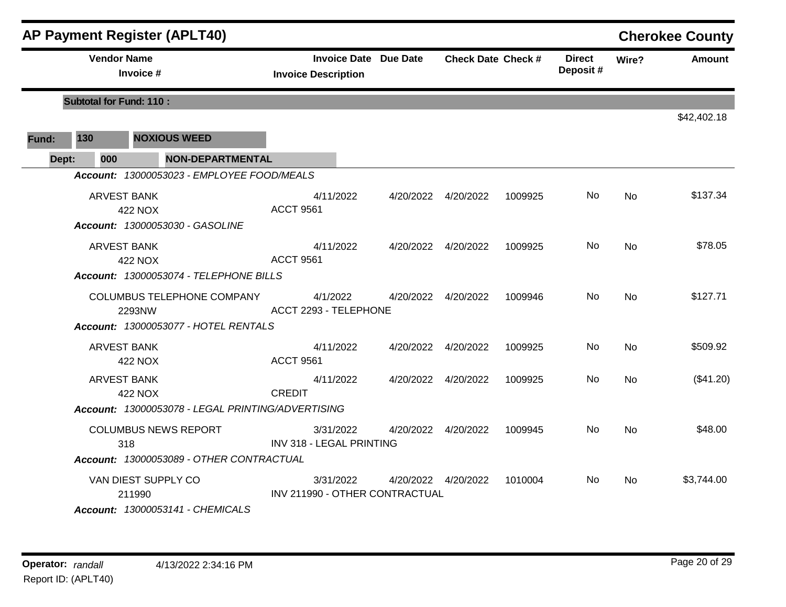|       |                                | <b>AP Payment Register (APLT40)</b>                                                                                                  |                                                            |           |                           |         |                           |                | <b>Cherokee County</b> |
|-------|--------------------------------|--------------------------------------------------------------------------------------------------------------------------------------|------------------------------------------------------------|-----------|---------------------------|---------|---------------------------|----------------|------------------------|
|       | <b>Vendor Name</b>             | Invoice #                                                                                                                            | <b>Invoice Date Due Date</b><br><b>Invoice Description</b> |           | <b>Check Date Check #</b> |         | <b>Direct</b><br>Deposit# | Wire?          | <b>Amount</b>          |
|       | <b>Subtotal for Fund: 110:</b> |                                                                                                                                      |                                                            |           |                           |         |                           |                |                        |
|       |                                |                                                                                                                                      |                                                            |           |                           |         |                           |                | \$42,402.18            |
| Fund: | 130                            | <b>NOXIOUS WEED</b>                                                                                                                  |                                                            |           |                           |         |                           |                |                        |
| Dept: | 000                            | <b>NON-DEPARTMENTAL</b>                                                                                                              |                                                            |           |                           |         |                           |                |                        |
|       |                                | Account: 13000053023 - EMPLOYEE FOOD/MEALS                                                                                           |                                                            |           |                           |         |                           |                |                        |
|       | <b>ARVEST BANK</b>             | <b>422 NOX</b><br>Account: 13000053030 - GASOLINE                                                                                    | 4/11/2022<br><b>ACCT 9561</b>                              | 4/20/2022 | 4/20/2022                 | 1009925 | No.                       | No             | \$137.34               |
|       | ARVEST BANK                    | <b>422 NOX</b>                                                                                                                       | 4/11/2022<br><b>ACCT 9561</b>                              |           | 4/20/2022  4/20/2022      | 1009925 | No.                       | No             | \$78.05                |
|       |                                | Account: 13000053074 - TELEPHONE BILLS<br><b>COLUMBUS TELEPHONE COMPANY</b><br>2293NW<br><b>Account: 13000053077 - HOTEL RENTALS</b> | 4/1/2022<br>ACCT 2293 - TELEPHONE                          |           | 4/20/2022  4/20/2022      | 1009946 | No.                       | <b>No</b>      | \$127.71               |
|       | ARVEST BANK                    | <b>422 NOX</b>                                                                                                                       | 4/11/2022<br><b>ACCT 9561</b>                              | 4/20/2022 | 4/20/2022                 | 1009925 | No.                       | No             | \$509.92               |
|       | <b>ARVEST BANK</b>             | 422 NOX                                                                                                                              | 4/11/2022<br><b>CREDIT</b>                                 |           | 4/20/2022  4/20/2022      | 1009925 | No.                       | <b>No</b>      | (\$41.20)              |
|       |                                | Account: 13000053078 - LEGAL PRINTING/ADVERTISING                                                                                    |                                                            |           |                           |         |                           |                |                        |
|       |                                | <b>COLUMBUS NEWS REPORT</b><br>318<br>Account: 13000053089 - OTHER CONTRACTUAL                                                       | 3/31/2022<br>INV 318 - LEGAL PRINTING                      |           | 4/20/2022 4/20/2022       | 1009945 | No.                       | <b>No</b>      | \$48.00                |
|       |                                | VAN DIEST SUPPLY CO<br>211990                                                                                                        | 3/31/2022<br>INV 211990 - OTHER CONTRACTUAL                |           | 4/20/2022  4/20/2022      | 1010004 | No.                       | N <sub>o</sub> | \$3,744.00             |
|       |                                | <b>Account: 13000053141 - CHEMICALS</b>                                                                                              |                                                            |           |                           |         |                           |                |                        |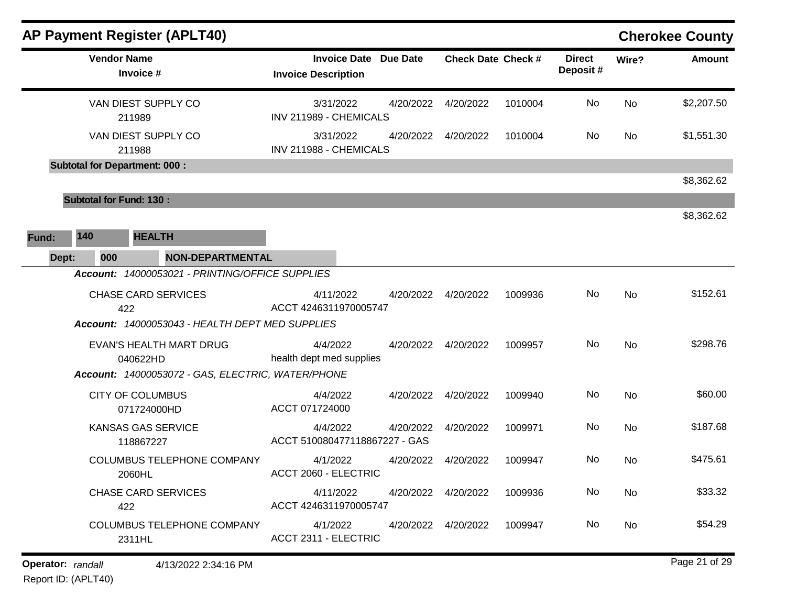|              | <b>AP Payment Register (APLT40)</b>  |                                                   |                                           |                              |                           |         |                           |           | <b>Cherokee County</b> |
|--------------|--------------------------------------|---------------------------------------------------|-------------------------------------------|------------------------------|---------------------------|---------|---------------------------|-----------|------------------------|
|              | <b>Vendor Name</b><br>Invoice #      |                                                   | <b>Invoice Description</b>                | <b>Invoice Date Due Date</b> | <b>Check Date Check #</b> |         | <b>Direct</b><br>Deposit# | Wire?     | <b>Amount</b>          |
|              | VAN DIEST SUPPLY CO<br>211989        |                                                   | 3/31/2022<br>INV 211989 - CHEMICALS       | 4/20/2022                    | 4/20/2022                 | 1010004 | No                        | No        | \$2,207.50             |
|              | VAN DIEST SUPPLY CO<br>211988        |                                                   | 3/31/2022<br>INV 211988 - CHEMICALS       | 4/20/2022                    | 4/20/2022                 | 1010004 | No                        | No        | \$1,551.30             |
|              | <b>Subtotal for Department: 000:</b> |                                                   |                                           |                              |                           |         |                           |           |                        |
|              |                                      |                                                   |                                           |                              |                           |         |                           |           | \$8,362.62             |
|              | <b>Subtotal for Fund: 130:</b>       |                                                   |                                           |                              |                           |         |                           |           |                        |
|              |                                      |                                                   |                                           |                              |                           |         |                           |           | \$8,362.62             |
| 140<br>Fund: | <b>HEALTH</b>                        |                                                   |                                           |                              |                           |         |                           |           |                        |
| Dept:        | 000                                  | <b>NON-DEPARTMENTAL</b>                           |                                           |                              |                           |         |                           |           |                        |
|              |                                      | Account: 14000053021 - PRINTING/OFFICE SUPPLIES   |                                           |                              |                           |         |                           |           |                        |
|              | <b>CHASE CARD SERVICES</b>           |                                                   | 4/11/2022                                 | 4/20/2022                    | 4/20/2022                 | 1009936 | No                        | <b>No</b> | \$152.61               |
|              | 422                                  |                                                   | ACCT 4246311970005747                     |                              |                           |         |                           |           |                        |
|              |                                      | Account: 14000053043 - HEALTH DEPT MED SUPPLIES   |                                           |                              |                           |         |                           |           |                        |
|              | EVAN'S HEALTH MART DRUG              |                                                   | 4/4/2022                                  |                              | 4/20/2022 4/20/2022       | 1009957 | No                        | No        | \$298.76               |
|              | 040622HD                             |                                                   | health dept med supplies                  |                              |                           |         |                           |           |                        |
|              |                                      | Account: 14000053072 - GAS, ELECTRIC, WATER/PHONE |                                           |                              |                           |         |                           |           |                        |
|              | <b>CITY OF COLUMBUS</b>              |                                                   | 4/4/2022                                  | 4/20/2022                    | 4/20/2022                 | 1009940 | No                        | No        | \$60.00                |
|              | 071724000HD                          |                                                   | ACCT 071724000                            |                              |                           |         |                           |           |                        |
|              | KANSAS GAS SERVICE<br>118867227      |                                                   | 4/4/2022<br>ACCT 510080477118867227 - GAS | 4/20/2022                    | 4/20/2022                 | 1009971 | No                        | No        | \$187.68               |
|              |                                      | COLUMBUS TELEPHONE COMPANY                        | 4/1/2022                                  |                              | 4/20/2022                 |         | No                        |           | \$475.61               |
|              | 2060HL                               |                                                   | ACCT 2060 - ELECTRIC                      | 4/20/2022                    |                           | 1009947 |                           | No        |                        |
|              | <b>CHASE CARD SERVICES</b>           |                                                   | 4/11/2022                                 |                              | 4/20/2022 4/20/2022       | 1009936 | No                        | No        | \$33.32                |
|              | 422                                  |                                                   | ACCT 4246311970005747                     |                              |                           |         |                           |           |                        |
|              |                                      | <b>COLUMBUS TELEPHONE COMPANY</b>                 | 4/1/2022                                  |                              | 4/20/2022  4/20/2022      | 1009947 | No                        | No        | \$54.29                |
|              | 2311HL                               |                                                   | ACCT 2311 - ELECTRIC                      |                              |                           |         |                           |           |                        |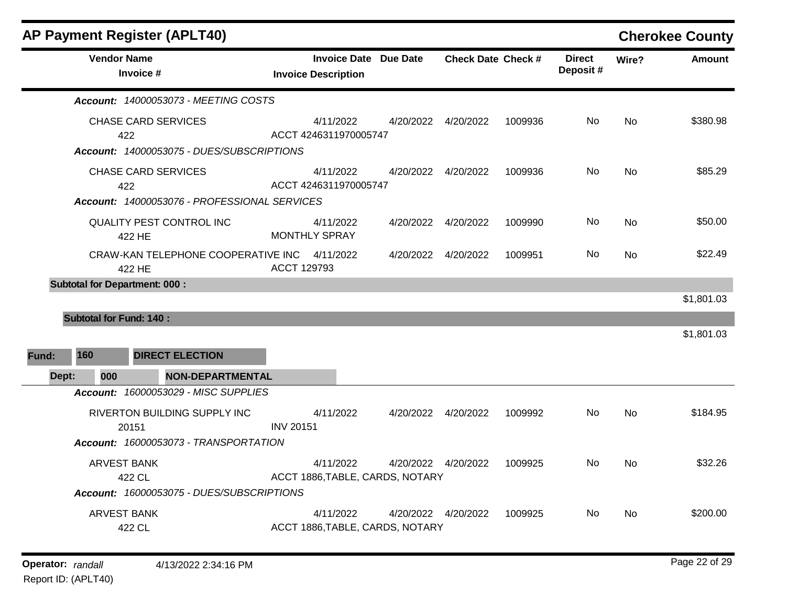÷

|       | <b>Vendor Name</b>             |                                              | <b>Invoice Date Due Date</b>    |                      | <b>Check Date Check #</b> |         | <b>Direct</b><br>Deposit# | Wire?     | <b>Amount</b> |
|-------|--------------------------------|----------------------------------------------|---------------------------------|----------------------|---------------------------|---------|---------------------------|-----------|---------------|
|       |                                | Invoice #                                    | <b>Invoice Description</b>      |                      |                           |         |                           |           |               |
|       |                                | Account: 14000053073 - MEETING COSTS         |                                 |                      |                           |         |                           |           |               |
|       |                                | <b>CHASE CARD SERVICES</b>                   | 4/11/2022                       |                      | 4/20/2022  4/20/2022      | 1009936 | No.                       | <b>No</b> | \$380.98      |
|       | 422                            |                                              | ACCT 4246311970005747           |                      |                           |         |                           |           |               |
|       |                                | Account: 14000053075 - DUES/SUBSCRIPTIONS    |                                 |                      |                           |         |                           |           |               |
|       |                                | <b>CHASE CARD SERVICES</b>                   | 4/11/2022                       |                      | 4/20/2022  4/20/2022      | 1009936 | No                        | <b>No</b> | \$85.29       |
|       | 422                            |                                              | ACCT 4246311970005747           |                      |                           |         |                           |           |               |
|       |                                | Account: 14000053076 - PROFESSIONAL SERVICES |                                 |                      |                           |         |                           |           |               |
|       |                                | <b>QUALITY PEST CONTROL INC</b>              | 4/11/2022                       |                      | 4/20/2022  4/20/2022      | 1009990 | No                        | <b>No</b> | \$50.00       |
|       |                                | 422 HE                                       | <b>MONTHLY SPRAY</b>            |                      |                           |         |                           |           |               |
|       |                                | CRAW-KAN TELEPHONE COOPERATIVE INC 4/11/2022 |                                 | 4/20/2022  4/20/2022 |                           | 1009951 | No.                       | <b>No</b> | \$22.49       |
|       |                                | 422 HE                                       | ACCT 129793                     |                      |                           |         |                           |           |               |
|       |                                | <b>Subtotal for Department: 000:</b>         |                                 |                      |                           |         |                           |           |               |
|       |                                |                                              |                                 |                      |                           |         |                           |           | \$1,801.03    |
|       | <b>Subtotal for Fund: 140:</b> |                                              |                                 |                      |                           |         |                           |           |               |
|       |                                |                                              |                                 |                      |                           |         |                           |           | \$1,801.03    |
| Fund: | 160                            | <b>DIRECT ELECTION</b>                       |                                 |                      |                           |         |                           |           |               |
|       |                                |                                              |                                 |                      |                           |         |                           |           |               |
| Dept: | 000                            | <b>NON-DEPARTMENTAL</b>                      |                                 |                      |                           |         |                           |           |               |
|       |                                | Account: 16000053029 - MISC SUPPLIES         |                                 |                      |                           |         |                           |           |               |
|       |                                | RIVERTON BUILDING SUPPLY INC                 | 4/11/2022                       | 4/20/2022  4/20/2022 |                           | 1009992 | No                        | <b>No</b> | \$184.95      |
|       |                                | 20151                                        | <b>INV 20151</b>                |                      |                           |         |                           |           |               |
|       |                                | Account: 16000053073 - TRANSPORTATION        |                                 |                      |                           |         |                           |           |               |
|       | <b>ARVEST BANK</b>             |                                              | 4/11/2022                       |                      | 4/20/2022  4/20/2022      | 1009925 | No                        | <b>No</b> | \$32.26       |
|       |                                | 422 CL                                       | ACCT 1886, TABLE, CARDS, NOTARY |                      |                           |         |                           |           |               |
|       |                                | Account: 16000053075 - DUES/SUBSCRIPTIONS    |                                 |                      |                           |         |                           |           |               |
|       | <b>ARVEST BANK</b>             |                                              | 4/11/2022                       |                      | 4/20/2022  4/20/2022      | 1009925 | No.                       | <b>No</b> | \$200.00      |
|       |                                | 422 CL                                       | ACCT 1886, TABLE, CARDS, NOTARY |                      |                           |         |                           |           |               |
|       |                                |                                              |                                 |                      |                           |         |                           |           |               |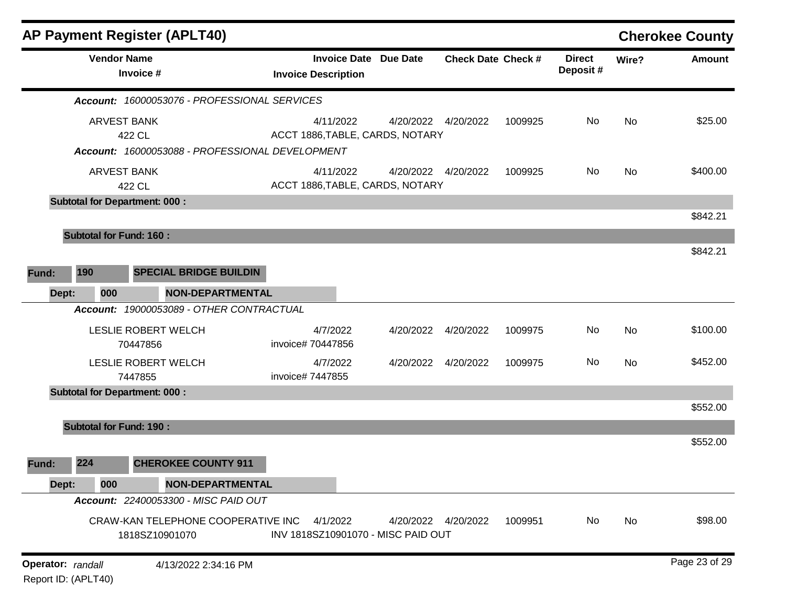|                                          |     |                                      | AP Payment Register (APLT40)                         |                               |                                                            |                           |         |                           |           | <b>Cherokee County</b> |
|------------------------------------------|-----|--------------------------------------|------------------------------------------------------|-------------------------------|------------------------------------------------------------|---------------------------|---------|---------------------------|-----------|------------------------|
|                                          |     | <b>Vendor Name</b><br>Invoice #      |                                                      | <b>Invoice Description</b>    | <b>Invoice Date Due Date</b>                               | <b>Check Date Check #</b> |         | <b>Direct</b><br>Deposit# | Wire?     | <b>Amount</b>          |
|                                          |     |                                      | Account: 16000053076 - PROFESSIONAL SERVICES         |                               |                                                            |                           |         |                           |           |                        |
|                                          |     | <b>ARVEST BANK</b><br>422 CL         | Account: 16000053088 - PROFESSIONAL DEVELOPMENT      | 4/11/2022                     | 4/20/2022  4/20/2022<br>ACCT 1886, TABLE, CARDS, NOTARY    |                           | 1009925 | No                        | <b>No</b> | \$25.00                |
|                                          |     | <b>ARVEST BANK</b><br>422 CL         |                                                      | 4/11/2022                     | 4/20/2022  4/20/2022<br>ACCT 1886, TABLE, CARDS, NOTARY    |                           | 1009925 | No                        | <b>No</b> | \$400.00               |
|                                          |     | <b>Subtotal for Department: 000:</b> |                                                      |                               |                                                            |                           |         |                           |           | \$842.21               |
|                                          |     | <b>Subtotal for Fund: 160:</b>       |                                                      |                               |                                                            |                           |         |                           |           | \$842.21               |
| Fund:                                    | 190 |                                      | <b>SPECIAL BRIDGE BUILDIN</b>                        |                               |                                                            |                           |         |                           |           |                        |
| Dept:                                    |     | 000                                  | <b>NON-DEPARTMENTAL</b>                              |                               |                                                            |                           |         |                           |           |                        |
|                                          |     |                                      | Account: 19000053089 - OTHER CONTRACTUAL             |                               |                                                            |                           |         |                           |           |                        |
|                                          |     | 70447856                             | LESLIE ROBERT WELCH                                  | 4/7/2022<br>invoice# 70447856 | 4/20/2022 4/20/2022                                        |                           | 1009975 | No                        | <b>No</b> | \$100.00               |
|                                          |     | 7447855                              | LESLIE ROBERT WELCH                                  | 4/7/2022<br>invoice# 7447855  | 4/20/2022                                                  | 4/20/2022                 | 1009975 | No                        | <b>No</b> | \$452.00               |
|                                          |     | <b>Subtotal for Department: 000:</b> |                                                      |                               |                                                            |                           |         |                           |           | \$552.00               |
|                                          |     | <b>Subtotal for Fund: 190:</b>       |                                                      |                               |                                                            |                           |         |                           |           |                        |
| Fund:                                    | 224 |                                      | <b>CHEROKEE COUNTY 911</b>                           |                               |                                                            |                           |         |                           |           | \$552.00               |
| Dept:                                    |     | 000                                  | <b>NON-DEPARTMENTAL</b>                              |                               |                                                            |                           |         |                           |           |                        |
|                                          |     |                                      | Account: 22400053300 - MISC PAID OUT                 |                               |                                                            |                           |         |                           |           |                        |
|                                          |     |                                      | CRAW-KAN TELEPHONE COOPERATIVE INC<br>1818SZ10901070 | 4/1/2022                      | 4/20/2022  4/20/2022<br>INV 1818SZ10901070 - MISC PAID OUT |                           | 1009951 | No                        | No        | \$98.00                |
| Operator: randall<br>Report ID: (APLT40) |     |                                      | 4/13/2022 2:34:16 PM                                 |                               |                                                            |                           |         |                           |           | Page 23 of 29          |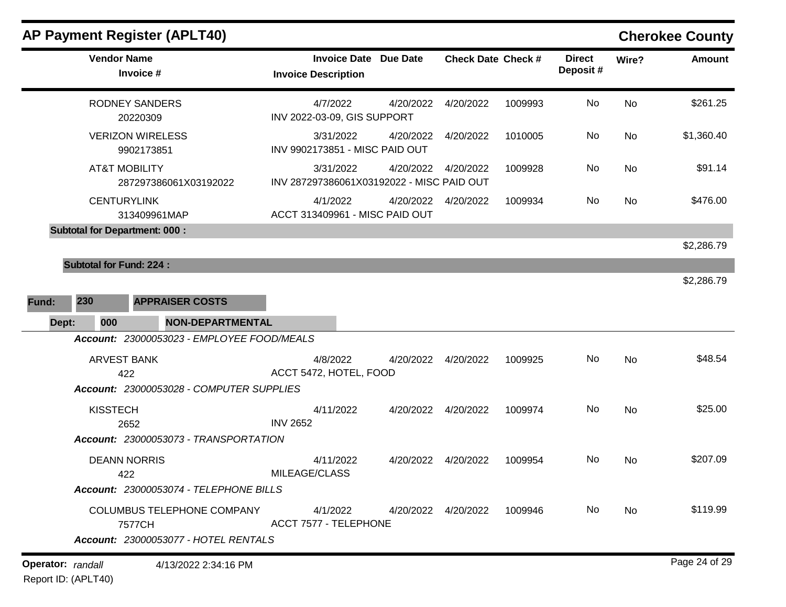| AP Payment Register (APLT40)                      |                                                        |           |                           |         |                           |           | <b>Cherokee County</b> |
|---------------------------------------------------|--------------------------------------------------------|-----------|---------------------------|---------|---------------------------|-----------|------------------------|
| <b>Vendor Name</b><br>Invoice #                   | Invoice Date Due Date<br><b>Invoice Description</b>    |           | <b>Check Date Check #</b> |         | <b>Direct</b><br>Deposit# | Wire?     | Amount                 |
| RODNEY SANDERS<br>20220309                        | 4/7/2022<br>INV 2022-03-09, GIS SUPPORT                | 4/20/2022 | 4/20/2022                 | 1009993 | No                        | <b>No</b> | \$261.25               |
| <b>VERIZON WIRELESS</b><br>9902173851             | 3/31/2022<br>INV 9902173851 - MISC PAID OUT            | 4/20/2022 | 4/20/2022                 | 1010005 | No                        | No        | \$1,360.40             |
| <b>AT&amp;T MOBILITY</b><br>287297386061X03192022 | 3/31/2022<br>INV 287297386061X03192022 - MISC PAID OUT | 4/20/2022 | 4/20/2022                 | 1009928 | No                        | <b>No</b> | \$91.14                |

**CENTURYLINK** 313409961MAP

**Subtotal for Department: 000 :** 

**Subtotal for Fund: 224 :** 

**Fund: 230 APPRAISER COSTS Dept: 000 NON-DEPARTMENTAL** *Account: 23000053023 - EMPLOYEE FOOD/MEALS* ARVEST BANK 422 4/8/2022 4/20/2022 4/20/2022 1009925 No \$48.54 ACCT 5472, HOTEL, FOOD No *Account: 23000053028 - COMPUTER SUPPLIES* KISSTECH 2652 4/11/2022 4/20/2022 4/20/2022 1009974 No \$25.00 INV 2652 No *Account: 23000053073 - TRANSPORTATION* DEANN NORRIS 422 4/11/2022 4/20/2022 4/20/2022 1009954 No \$207.09 MILEAGE/CLASS No *Account: 23000053074 - TELEPHONE BILLS* COLUMBUS TELEPHONE COMPANY 7577CH 4/1/2022 4/20/2022 4/20/2022 1009946 No \$119.99 ACCT 7577 - TELEPHONE No *Account: 23000053077 - HOTEL RENTALS*

ACCT 313409961 - MISC PAID OUT

\$2,286.79

\$2,286.79

### **Cherokee County**

No

4/1/2022 4/20/2022 4/20/2022 1009934 No \$476.00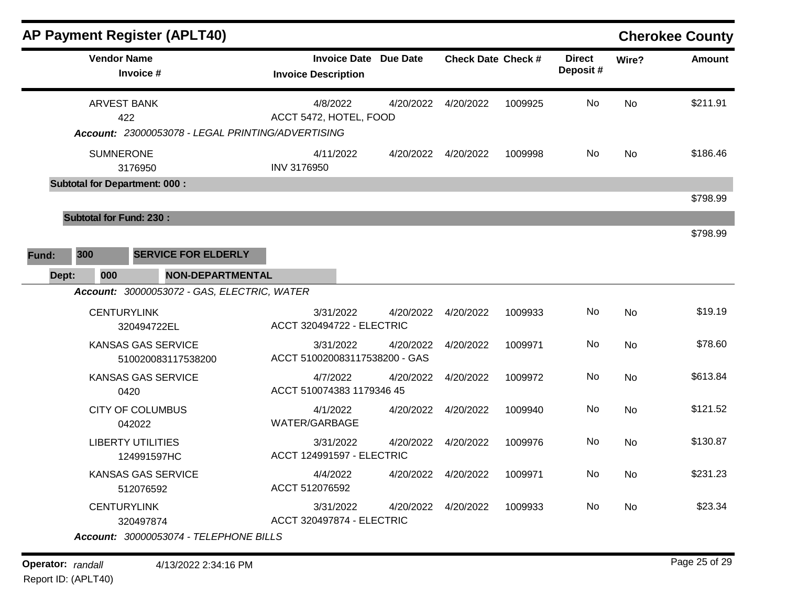|       |                                      |                                         | <b>AP Payment Register (APLT40)</b>               |                                       |           |                              |                           |         |                            |           | <b>Cherokee County</b> |
|-------|--------------------------------------|-----------------------------------------|---------------------------------------------------|---------------------------------------|-----------|------------------------------|---------------------------|---------|----------------------------|-----------|------------------------|
|       |                                      | <b>Vendor Name</b><br>Invoice #         |                                                   | <b>Invoice Description</b>            |           | <b>Invoice Date Due Date</b> | <b>Check Date Check #</b> |         | <b>Direct</b><br>Deposit # | Wire?     | <b>Amount</b>          |
|       |                                      | <b>ARVEST BANK</b><br>422               |                                                   | 4/8/2022<br>ACCT 5472, HOTEL, FOOD    |           | 4/20/2022                    | 4/20/2022                 | 1009925 | No                         | <b>No</b> | \$211.91               |
|       |                                      |                                         | Account: 23000053078 - LEGAL PRINTING/ADVERTISING |                                       |           |                              |                           |         |                            |           |                        |
|       |                                      | <b>SUMNERONE</b><br>3176950             |                                                   | INV 3176950                           | 4/11/2022 |                              | 4/20/2022 4/20/2022       | 1009998 | No.                        | <b>No</b> | \$186.46               |
|       | <b>Subtotal for Department: 000:</b> |                                         |                                                   |                                       |           |                              |                           |         |                            |           |                        |
|       |                                      |                                         |                                                   |                                       |           |                              |                           |         |                            |           | \$798.99               |
|       | <b>Subtotal for Fund: 230:</b>       |                                         |                                                   |                                       |           |                              |                           |         |                            |           |                        |
|       |                                      |                                         |                                                   |                                       |           |                              |                           |         |                            |           | \$798.99               |
| Fund: | 300                                  |                                         | <b>SERVICE FOR ELDERLY</b>                        |                                       |           |                              |                           |         |                            |           |                        |
|       | Dept:<br>000                         |                                         | NON-DEPARTMENTAL                                  |                                       |           |                              |                           |         |                            |           |                        |
|       |                                      |                                         | Account: 30000053072 - GAS, ELECTRIC, WATER       |                                       |           |                              |                           |         |                            |           |                        |
|       |                                      | <b>CENTURYLINK</b><br>320494722EL       |                                                   | <b>ACCT 320494722 - ELECTRIC</b>      | 3/31/2022 | 4/20/2022                    | 4/20/2022                 | 1009933 | No                         | <b>No</b> | \$19.19                |
|       |                                      |                                         | KANSAS GAS SERVICE<br>510020083117538200          | ACCT 510020083117538200 - GAS         | 3/31/2022 | 4/20/2022                    | 4/20/2022                 | 1009971 | No.                        | No        | \$78.60                |
|       |                                      | 0420                                    | KANSAS GAS SERVICE                                | 4/7/2022<br>ACCT 510074383 1179346 45 |           | 4/20/2022                    | 4/20/2022                 | 1009972 | No                         | <b>No</b> | \$613.84               |
|       |                                      | <b>CITY OF COLUMBUS</b><br>042022       |                                                   | 4/1/2022<br>WATER/GARBAGE             |           |                              | 4/20/2022 4/20/2022       | 1009940 | No                         | <b>No</b> | \$121.52               |
|       |                                      | <b>LIBERTY UTILITIES</b><br>124991597HC |                                                   | <b>ACCT 124991597 - ELECTRIC</b>      | 3/31/2022 | 4/20/2022                    | 4/20/2022                 | 1009976 | No.                        | <b>No</b> | \$130.87               |
|       |                                      | 512076592                               | <b>KANSAS GAS SERVICE</b>                         | 4/4/2022<br>ACCT 512076592            |           |                              | 4/20/2022 4/20/2022       | 1009971 | No                         | No        | \$231.23               |
|       |                                      | <b>CENTURYLINK</b><br>320497874         |                                                   | <b>ACCT 320497874 - ELECTRIC</b>      | 3/31/2022 | 4/20/2022                    | 4/20/2022                 | 1009933 | No                         | No        | \$23.34                |
|       |                                      |                                         | Account: 30000053074 - TELEPHONE BILLS            |                                       |           |                              |                           |         |                            |           |                        |

**Operator:** randall 4/13/2022 2:34:16 PM Report ID: (APLT40)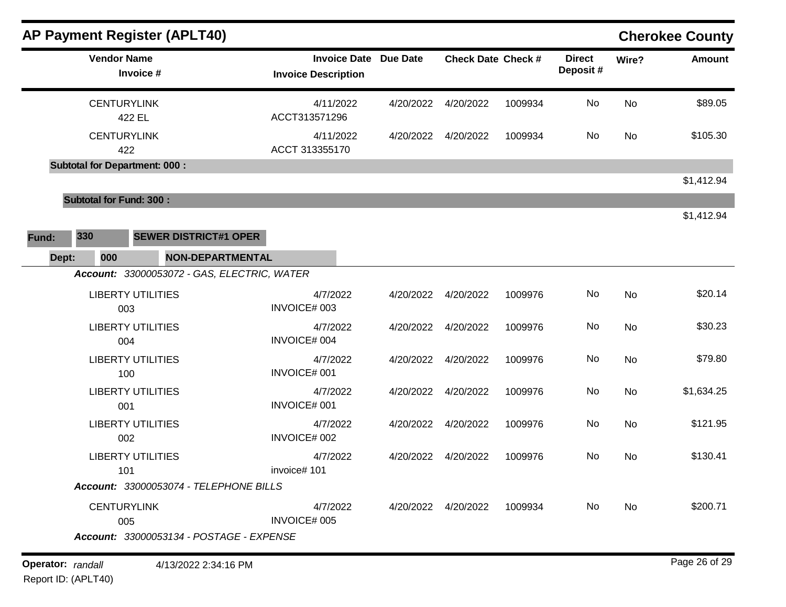|                   | <b>AP Payment Register (APLT40)</b>  |                                                                 |                                                            |           |                           |         |                           |       | <b>Cherokee County</b> |
|-------------------|--------------------------------------|-----------------------------------------------------------------|------------------------------------------------------------|-----------|---------------------------|---------|---------------------------|-------|------------------------|
|                   | <b>Vendor Name</b><br>Invoice #      |                                                                 | <b>Invoice Date Due Date</b><br><b>Invoice Description</b> |           | <b>Check Date Check #</b> |         | <b>Direct</b><br>Deposit# | Wire? | <b>Amount</b>          |
|                   | <b>CENTURYLINK</b><br>422 EL         |                                                                 | 4/11/2022<br>ACCT313571296                                 | 4/20/2022 | 4/20/2022                 | 1009934 | No                        | No    | \$89.05                |
|                   | <b>CENTURYLINK</b><br>422            |                                                                 | 4/11/2022<br>ACCT 313355170                                | 4/20/2022 | 4/20/2022                 | 1009934 | No                        | No    | \$105.30               |
|                   | <b>Subtotal for Department: 000:</b> |                                                                 |                                                            |           |                           |         |                           |       | \$1,412.94             |
|                   | <b>Subtotal for Fund: 300:</b>       |                                                                 |                                                            |           |                           |         |                           |       | \$1,412.94             |
| Fund:             | 330                                  | <b>SEWER DISTRICT#1 OPER</b>                                    |                                                            |           |                           |         |                           |       |                        |
| Dept:             | 000                                  | NON-DEPARTMENTAL<br>Account: 33000053072 - GAS, ELECTRIC, WATER |                                                            |           |                           |         |                           |       |                        |
|                   | <b>LIBERTY UTILITIES</b><br>003      |                                                                 | 4/7/2022<br>INVOICE# 003                                   | 4/20/2022 | 4/20/2022                 | 1009976 | No                        | No    | \$20.14                |
|                   | <b>LIBERTY UTILITIES</b><br>004      |                                                                 | 4/7/2022<br>INVOICE# 004                                   | 4/20/2022 | 4/20/2022                 | 1009976 | No                        | No    | \$30.23                |
|                   | <b>LIBERTY UTILITIES</b><br>100      |                                                                 | 4/7/2022<br>INVOICE# 001                                   | 4/20/2022 | 4/20/2022                 | 1009976 | No                        | No    | \$79.80                |
|                   | <b>LIBERTY UTILITIES</b><br>001      |                                                                 | 4/7/2022<br>INVOICE# 001                                   | 4/20/2022 | 4/20/2022                 | 1009976 | No                        | No    | \$1,634.25             |
|                   | <b>LIBERTY UTILITIES</b><br>002      |                                                                 | 4/7/2022<br>INVOICE# 002                                   | 4/20/2022 | 4/20/2022                 | 1009976 | No                        | No    | \$121.95               |
|                   | <b>LIBERTY UTILITIES</b><br>101      |                                                                 | 4/7/2022<br>invoice# 101                                   | 4/20/2022 | 4/20/2022                 | 1009976 | No                        | No    | \$130.41               |
|                   |                                      | Account: 33000053074 - TELEPHONE BILLS                          |                                                            |           |                           |         |                           |       |                        |
|                   | <b>CENTURYLINK</b><br>005            | Account: 33000053134 - POSTAGE - EXPENSE                        | 4/7/2022<br><b>INVOICE# 005</b>                            |           | 4/20/2022  4/20/2022      | 1009934 | No                        | No    | \$200.71               |
|                   |                                      |                                                                 |                                                            |           |                           |         |                           |       |                        |
| Operator: randall |                                      | 4/13/2022 2:34:16 PM                                            |                                                            |           |                           |         |                           |       | Page 26 of 29          |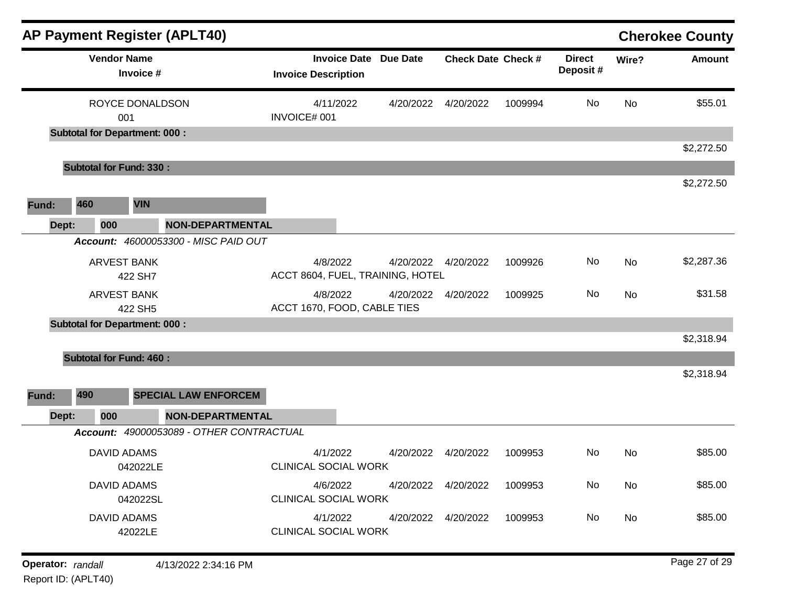| <b>AP Payment Register (APLT40)</b>                                           |                                                            |           |                           |         |                           |           | <b>Cherokee County</b> |
|-------------------------------------------------------------------------------|------------------------------------------------------------|-----------|---------------------------|---------|---------------------------|-----------|------------------------|
| <b>Vendor Name</b><br>Invoice #                                               | <b>Invoice Date Due Date</b><br><b>Invoice Description</b> |           | <b>Check Date Check #</b> |         | <b>Direct</b><br>Deposit# | Wire?     | <b>Amount</b>          |
| ROYCE DONALDSON                                                               | 4/11/2022                                                  | 4/20/2022 | 4/20/2022                 | 1009994 | No                        | No        | \$55.01                |
| 001<br><b>Subtotal for Department: 000:</b>                                   | INVOICE# 001                                               |           |                           |         |                           |           |                        |
|                                                                               |                                                            |           |                           |         |                           |           | \$2,272.50             |
| <b>Subtotal for Fund: 330:</b>                                                |                                                            |           |                           |         |                           |           |                        |
|                                                                               |                                                            |           |                           |         |                           |           | \$2,272.50             |
| 460<br><b>VIN</b><br>Fund:                                                    |                                                            |           |                           |         |                           |           |                        |
| <b>NON-DEPARTMENTAL</b><br>Dept:<br>000                                       |                                                            |           |                           |         |                           |           |                        |
| Account: 46000053300 - MISC PAID OUT                                          |                                                            |           |                           |         |                           |           |                        |
| <b>ARVEST BANK</b><br>422 SH7                                                 | 4/8/2022<br>ACCT 8604, FUEL, TRAINING, HOTEL               | 4/20/2022 | 4/20/2022                 | 1009926 | No                        | No        | \$2,287.36             |
| <b>ARVEST BANK</b><br>422 SH5                                                 | 4/8/2022<br>ACCT 1670, FOOD, CABLE TIES                    | 4/20/2022 | 4/20/2022                 | 1009925 | No                        | <b>No</b> | \$31.58                |
| <b>Subtotal for Department: 000:</b>                                          |                                                            |           |                           |         |                           |           |                        |
|                                                                               |                                                            |           |                           |         |                           |           | \$2,318.94             |
| <b>Subtotal for Fund: 460:</b><br>490<br><b>SPECIAL LAW ENFORCEM</b><br>Fund: |                                                            |           |                           |         |                           |           | \$2,318.94             |
| <b>NON-DEPARTMENTAL</b><br>Dept:<br>000                                       |                                                            |           |                           |         |                           |           |                        |
| Account: 49000053089 - OTHER CONTRACTUAL                                      |                                                            |           |                           |         |                           |           |                        |
| <b>DAVID ADAMS</b><br>042022LE                                                | 4/1/2022<br><b>CLINICAL SOCIAL WORK</b>                    | 4/20/2022 | 4/20/2022                 | 1009953 | No.                       | No        | \$85.00                |
| DAVID ADAMS<br>042022SL                                                       | 4/6/2022<br><b>CLINICAL SOCIAL WORK</b>                    |           | 4/20/2022  4/20/2022      | 1009953 | No                        | No        | \$85.00                |
| <b>DAVID ADAMS</b><br>42022LE                                                 | 4/1/2022<br>CLINICAL SOCIAL WORK                           |           | 4/20/2022  4/20/2022      | 1009953 | No                        | No        | \$85.00                |
| Operator: randall<br>4/13/2022 2:34:16 PM                                     |                                                            |           |                           |         |                           |           | Page 27 of 29          |

Report ID: (APLT40)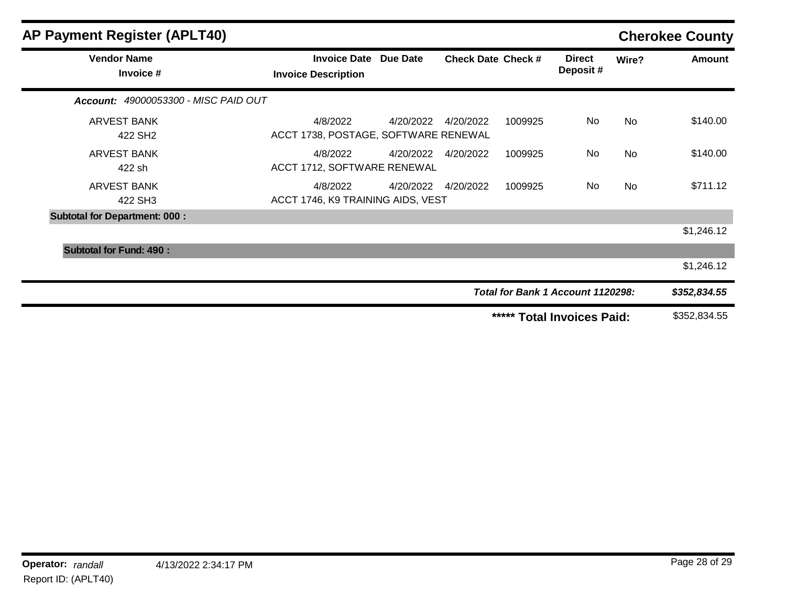| <b>AP Payment Register (APLT40)</b>       |                                                            |           |                           |         |                                   |       | <b>Cherokee County</b> |
|-------------------------------------------|------------------------------------------------------------|-----------|---------------------------|---------|-----------------------------------|-------|------------------------|
| <b>Vendor Name</b><br>Invoice #           | <b>Invoice Date Due Date</b><br><b>Invoice Description</b> |           | <b>Check Date Check #</b> |         | <b>Direct</b><br>Deposit #        | Wire? | <b>Amount</b>          |
| Account: 49000053300 - MISC PAID OUT      |                                                            |           |                           |         |                                   |       |                        |
| <b>ARVEST BANK</b><br>422 SH <sub>2</sub> | 4/8/2022<br>ACCT 1738, POSTAGE, SOFTWARE RENEWAL           |           | 4/20/2022 4/20/2022       | 1009925 | No                                | No    | \$140.00               |
| <b>ARVEST BANK</b><br>422 sh              | 4/8/2022<br>ACCT 1712, SOFTWARE RENEWAL                    | 4/20/2022 | 4/20/2022                 | 1009925 | No                                | No.   | \$140.00               |
| <b>ARVEST BANK</b><br>422 SH3             | 4/8/2022<br>ACCT 1746, K9 TRAINING AIDS, VEST              | 4/20/2022 | 4/20/2022                 | 1009925 | No                                | No    | \$711.12               |
| <b>Subtotal for Department: 000:</b>      |                                                            |           |                           |         |                                   |       |                        |
|                                           |                                                            |           |                           |         |                                   |       | \$1,246.12             |
| <b>Subtotal for Fund: 490:</b>            |                                                            |           |                           |         |                                   |       |                        |
|                                           |                                                            |           |                           |         |                                   |       | \$1,246.12             |
|                                           |                                                            |           |                           |         | Total for Bank 1 Account 1120298: |       | \$352,834.55           |
|                                           |                                                            |           |                           | *****   | <b>Total Invoices Paid:</b>       |       | \$352,834.55           |